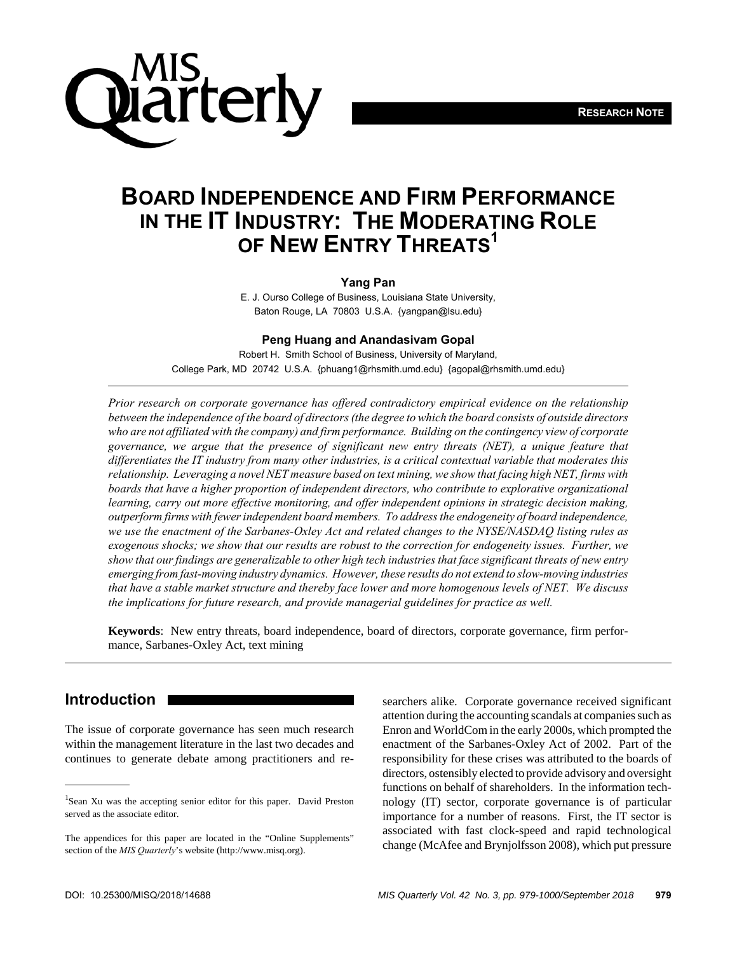

# **BOARD INDEPENDENCE AND FIRM PERFORMANCE IN THE IT INDUSTRY: THE MODERATING ROLE OF NEW ENTRY THREATS1**

#### **Yang Pan**

E. J. Ourso College of Business, Louisiana State University, Baton Rouge, LA 70803 U.S.A. {yangpan@lsu.edu}

#### **Peng Huang and Anandasivam Gopal**

Robert H. Smith School of Business, University of Maryland, College Park, MD 20742 U.S.A. {phuang1@rhsmith.umd.edu} {agopal@rhsmith.umd.edu}

*Prior research on corporate governance has offered contradictory empirical evidence on the relationship between the independence of the board of directors (the degree to which the board consists of outside directors who are not affiliated with the company) and firm performance. Building on the contingency view of corporate governance, we argue that the presence of significant new entry threats (NET), a unique feature that differentiates the IT industry from many other industries, is a critical contextual variable that moderates this relationship. Leveraging a novel NET measure based on text mining, we show that facing high NET, firms with boards that have a higher proportion of independent directors, who contribute to explorative organizational learning, carry out more effective monitoring, and offer independent opinions in strategic decision making, outperform firms with fewer independent board members. To address the endogeneity of board independence, we use the enactment of the Sarbanes-Oxley Act and related changes to the NYSE/NASDAQ listing rules as exogenous shocks; we show that our results are robust to the correction for endogeneity issues. Further, we show that our findings are generalizable to other high tech industries that face significant threats of new entry emerging from fast-moving industry dynamics. However, these results do not extend to slow-moving industries that have a stable market structure and thereby face lower and more homogenous levels of NET. We discuss the implications for future research, and provide managerial guidelines for practice as well.*

**Keywords**: New entry threats, board independence, board of directors, corporate governance, firm performance, Sarbanes-Oxley Act, text mining

## **Introduction** <sup>1</sup>

The issue of corporate governance has seen much research within the management literature in the last two decades and continues to generate debate among practitioners and re-

searchers alike. Corporate governance received significant attention during the accounting scandals at companies such as Enron and WorldCom in the early 2000s, which prompted the enactment of the Sarbanes-Oxley Act of 2002. Part of the responsibility for these crises was attributed to the boards of directors, ostensibly elected to provide advisory and oversight functions on behalf of shareholders. In the information technology (IT) sector, corporate governance is of particular importance for a number of reasons. First, the IT sector is associated with fast clock-speed and rapid technological change (McAfee and Brynjolfsson 2008), which put pressure

<sup>&</sup>lt;sup>1</sup>Sean Xu was the accepting senior editor for this paper. David Preston served as the associate editor.

The appendices for this paper are located in the "Online Supplements" section of the *MIS Quarterly*'s website (http://www.misq.org).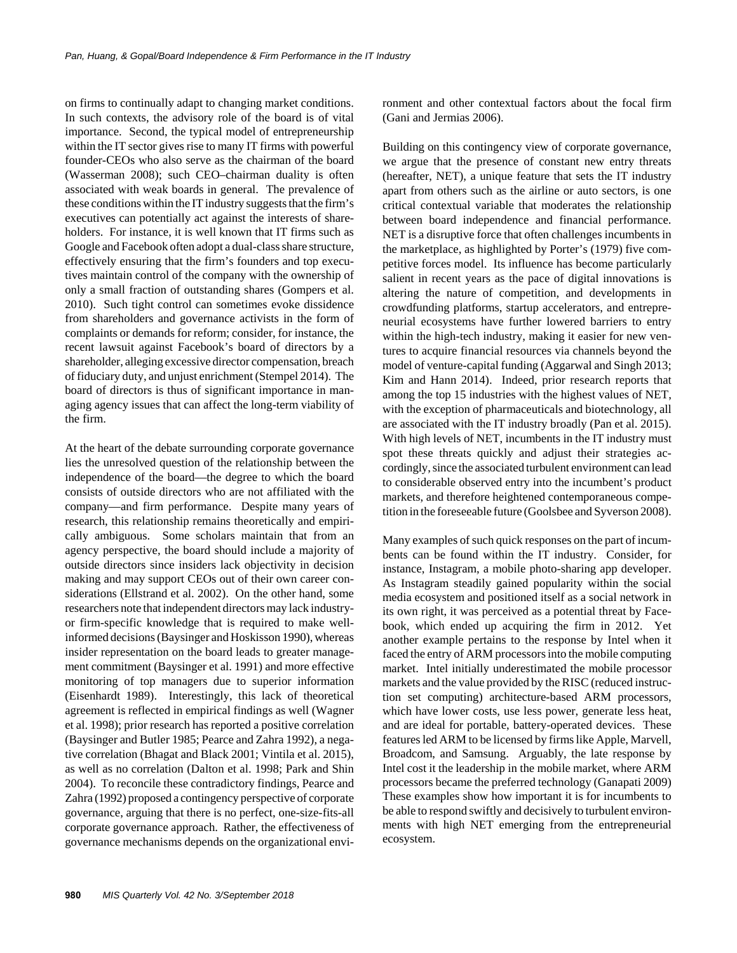on firms to continually adapt to changing market conditions. In such contexts, the advisory role of the board is of vital importance. Second, the typical model of entrepreneurship within the IT sector gives rise to many IT firms with powerful founder-CEOs who also serve as the chairman of the board (Wasserman 2008); such CEO–chairman duality is often associated with weak boards in general. The prevalence of these conditions within the IT industry suggests that the firm's executives can potentially act against the interests of shareholders. For instance, it is well known that IT firms such as Google and Facebook often adopt a dual-class share structure, effectively ensuring that the firm's founders and top executives maintain control of the company with the ownership of only a small fraction of outstanding shares (Gompers et al. 2010). Such tight control can sometimes evoke dissidence from shareholders and governance activists in the form of complaints or demands for reform; consider, for instance, the recent lawsuit against Facebook's board of directors by a shareholder, alleging excessive director compensation, breach of fiduciary duty, and unjust enrichment (Stempel 2014). The board of directors is thus of significant importance in managing agency issues that can affect the long-term viability of the firm.

At the heart of the debate surrounding corporate governance lies the unresolved question of the relationship between the independence of the board—the degree to which the board consists of outside directors who are not affiliated with the company—and firm performance. Despite many years of research, this relationship remains theoretically and empirically ambiguous. Some scholars maintain that from an agency perspective, the board should include a majority of outside directors since insiders lack objectivity in decision making and may support CEOs out of their own career considerations (Ellstrand et al. 2002). On the other hand, some researchers note that independent directors may lack industryor firm-specific knowledge that is required to make wellinformed decisions (Baysinger and Hoskisson 1990), whereas insider representation on the board leads to greater management commitment (Baysinger et al. 1991) and more effective monitoring of top managers due to superior information (Eisenhardt 1989). Interestingly, this lack of theoretical agreement is reflected in empirical findings as well (Wagner et al. 1998); prior research has reported a positive correlation (Baysinger and Butler 1985; Pearce and Zahra 1992), a negative correlation (Bhagat and Black 2001; Vintila et al. 2015), as well as no correlation (Dalton et al. 1998; Park and Shin 2004). To reconcile these contradictory findings, Pearce and Zahra (1992) proposed a contingency perspective of corporate governance, arguing that there is no perfect, one-size-fits-all corporate governance approach. Rather, the effectiveness of governance mechanisms depends on the organizational environment and other contextual factors about the focal firm (Gani and Jermias 2006).

Building on this contingency view of corporate governance, we argue that the presence of constant new entry threats (hereafter, NET), a unique feature that sets the IT industry apart from others such as the airline or auto sectors, is one critical contextual variable that moderates the relationship between board independence and financial performance. NET is a disruptive force that often challenges incumbents in the marketplace, as highlighted by Porter's (1979) five competitive forces model. Its influence has become particularly salient in recent years as the pace of digital innovations is altering the nature of competition, and developments in crowdfunding platforms, startup accelerators, and entrepreneurial ecosystems have further lowered barriers to entry within the high-tech industry, making it easier for new ventures to acquire financial resources via channels beyond the model of venture-capital funding (Aggarwal and Singh 2013; Kim and Hann 2014). Indeed, prior research reports that among the top 15 industries with the highest values of NET, with the exception of pharmaceuticals and biotechnology, all are associated with the IT industry broadly (Pan et al. 2015). With high levels of NET, incumbents in the IT industry must spot these threats quickly and adjust their strategies accordingly, since the associated turbulent environment can lead to considerable observed entry into the incumbent's product markets, and therefore heightened contemporaneous competition in the foreseeable future (Goolsbee and Syverson 2008).

Many examples of such quick responses on the part of incumbents can be found within the IT industry. Consider, for instance, Instagram, a mobile photo-sharing app developer. As Instagram steadily gained popularity within the social media ecosystem and positioned itself as a social network in its own right, it was perceived as a potential threat by Facebook, which ended up acquiring the firm in 2012. Yet another example pertains to the response by Intel when it faced the entry of ARM processors into the mobile computing market. Intel initially underestimated the mobile processor markets and the value provided by the RISC (reduced instruction set computing) architecture-based ARM processors, which have lower costs, use less power, generate less heat, and are ideal for portable, battery-operated devices. These features led ARM to be licensed by firms like Apple, Marvell, Broadcom, and Samsung. Arguably, the late response by Intel cost it the leadership in the mobile market, where ARM processors became the preferred technology (Ganapati 2009) These examples show how important it is for incumbents to be able to respond swiftly and decisively to turbulent environments with high NET emerging from the entrepreneurial ecosystem.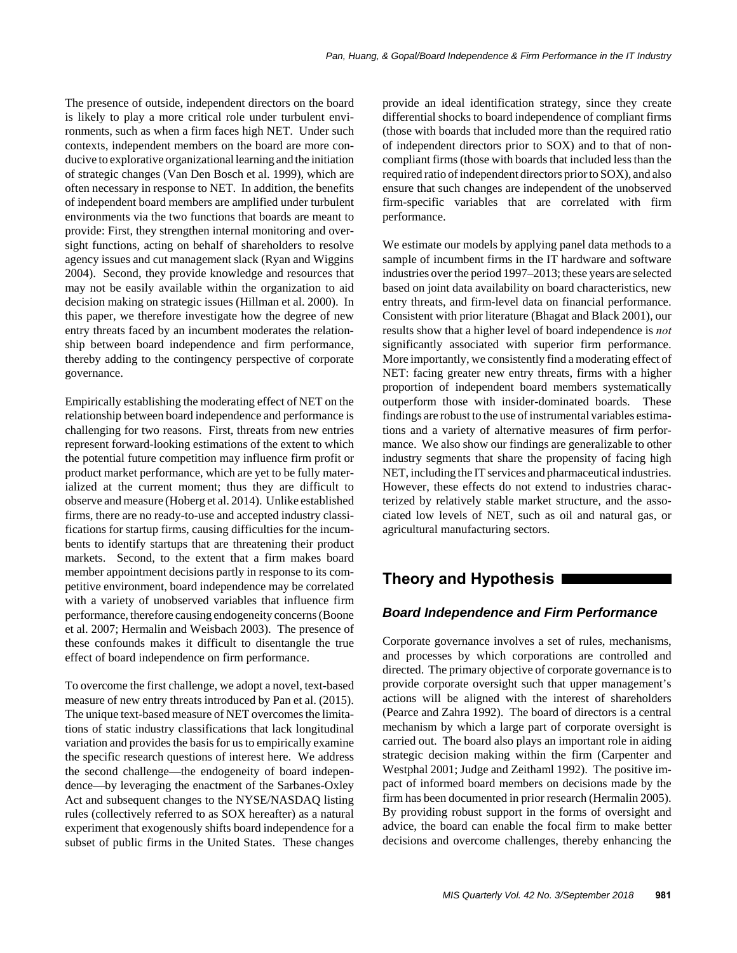The presence of outside, independent directors on the board is likely to play a more critical role under turbulent environments, such as when a firm faces high NET. Under such contexts, independent members on the board are more conducive to explorative organizational learning and the initiation of strategic changes (Van Den Bosch et al. 1999), which are often necessary in response to NET. In addition, the benefits of independent board members are amplified under turbulent environments via the two functions that boards are meant to provide: First, they strengthen internal monitoring and oversight functions, acting on behalf of shareholders to resolve agency issues and cut management slack (Ryan and Wiggins 2004). Second, they provide knowledge and resources that may not be easily available within the organization to aid decision making on strategic issues (Hillman et al. 2000). In this paper, we therefore investigate how the degree of new entry threats faced by an incumbent moderates the relationship between board independence and firm performance, thereby adding to the contingency perspective of corporate governance.

Empirically establishing the moderating effect of NET on the relationship between board independence and performance is challenging for two reasons. First, threats from new entries represent forward-looking estimations of the extent to which the potential future competition may influence firm profit or product market performance, which are yet to be fully materialized at the current moment; thus they are difficult to observe and measure (Hoberg et al. 2014). Unlike established firms, there are no ready-to-use and accepted industry classifications for startup firms, causing difficulties for the incumbents to identify startups that are threatening their product markets. Second, to the extent that a firm makes board member appointment decisions partly in response to its competitive environment, board independence may be correlated with a variety of unobserved variables that influence firm performance, therefore causing endogeneity concerns (Boone et al. 2007; Hermalin and Weisbach 2003). The presence of these confounds makes it difficult to disentangle the true effect of board independence on firm performance.

To overcome the first challenge, we adopt a novel, text-based measure of new entry threats introduced by Pan et al. (2015). The unique text-based measure of NET overcomes the limitations of static industry classifications that lack longitudinal variation and provides the basis for us to empirically examine the specific research questions of interest here. We address the second challenge—the endogeneity of board independence—by leveraging the enactment of the Sarbanes-Oxley Act and subsequent changes to the NYSE/NASDAQ listing rules (collectively referred to as SOX hereafter) as a natural experiment that exogenously shifts board independence for a subset of public firms in the United States. These changes provide an ideal identification strategy, since they create differential shocks to board independence of compliant firms (those with boards that included more than the required ratio of independent directors prior to SOX) and to that of noncompliant firms (those with boards that included less than the required ratio of independent directors prior to SOX), and also ensure that such changes are independent of the unobserved firm-specific variables that are correlated with firm performance.

We estimate our models by applying panel data methods to a sample of incumbent firms in the IT hardware and software industries over the period 1997–2013; these years are selected based on joint data availability on board characteristics, new entry threats, and firm-level data on financial performance. Consistent with prior literature (Bhagat and Black 2001), our results show that a higher level of board independence is *not* significantly associated with superior firm performance. More importantly, we consistently find a moderating effect of NET: facing greater new entry threats, firms with a higher proportion of independent board members systematically outperform those with insider-dominated boards. These findings are robust to the use of instrumental variables estimations and a variety of alternative measures of firm performance. We also show our findings are generalizable to other industry segments that share the propensity of facing high NET, including the IT services and pharmaceutical industries. However, these effects do not extend to industries characterized by relatively stable market structure, and the associated low levels of NET, such as oil and natural gas, or agricultural manufacturing sectors.

# **Theory and Hypothesis**

## *Board Independence and Firm Performance*

Corporate governance involves a set of rules, mechanisms, and processes by which corporations are controlled and directed. The primary objective of corporate governance is to provide corporate oversight such that upper management's actions will be aligned with the interest of shareholders (Pearce and Zahra 1992). The board of directors is a central mechanism by which a large part of corporate oversight is carried out. The board also plays an important role in aiding strategic decision making within the firm (Carpenter and Westphal 2001; Judge and Zeithaml 1992). The positive impact of informed board members on decisions made by the firm has been documented in prior research (Hermalin 2005). By providing robust support in the forms of oversight and advice, the board can enable the focal firm to make better decisions and overcome challenges, thereby enhancing the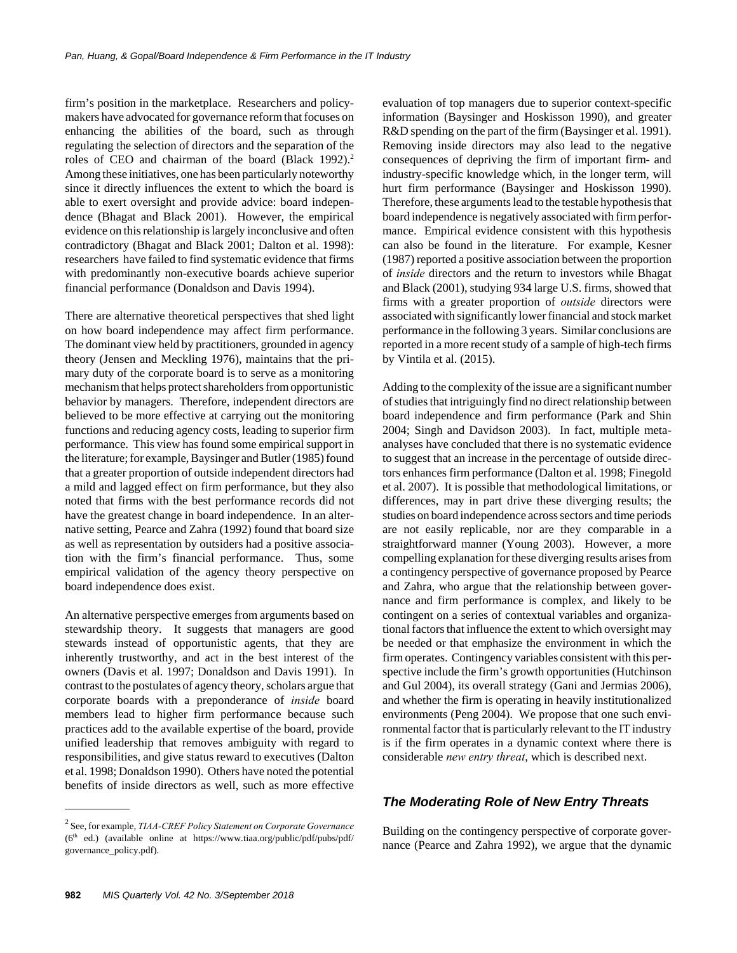firm's position in the marketplace. Researchers and policymakers have advocated for governance reform that focuses on enhancing the abilities of the board, such as through regulating the selection of directors and the separation of the roles of CEO and chairman of the board (Black 1992).<sup>2</sup> Among these initiatives, one has been particularly noteworthy since it directly influences the extent to which the board is able to exert oversight and provide advice: board independence (Bhagat and Black 2001). However, the empirical evidence on this relationship is largely inconclusive and often contradictory (Bhagat and Black 2001; Dalton et al. 1998): researchers have failed to find systematic evidence that firms with predominantly non-executive boards achieve superior financial performance (Donaldson and Davis 1994).

There are alternative theoretical perspectives that shed light on how board independence may affect firm performance. The dominant view held by practitioners, grounded in agency theory (Jensen and Meckling 1976), maintains that the primary duty of the corporate board is to serve as a monitoring mechanism that helps protect shareholders from opportunistic behavior by managers. Therefore, independent directors are believed to be more effective at carrying out the monitoring functions and reducing agency costs, leading to superior firm performance. This view has found some empirical support in the literature; for example, Baysinger and Butler (1985) found that a greater proportion of outside independent directors had a mild and lagged effect on firm performance, but they also noted that firms with the best performance records did not have the greatest change in board independence. In an alternative setting, Pearce and Zahra (1992) found that board size as well as representation by outsiders had a positive association with the firm's financial performance. Thus, some empirical validation of the agency theory perspective on board independence does exist.

An alternative perspective emerges from arguments based on stewardship theory. It suggests that managers are good stewards instead of opportunistic agents, that they are inherently trustworthy, and act in the best interest of the owners (Davis et al. 1997; Donaldson and Davis 1991). In contrast to the postulates of agency theory, scholars argue that corporate boards with a preponderance of *inside* board members lead to higher firm performance because such practices add to the available expertise of the board, provide unified leadership that removes ambiguity with regard to responsibilities, and give status reward to executives (Dalton et al. 1998; Donaldson 1990). Others have noted the potential benefits of inside directors as well, such as more effective

2 See, for example, *TIAA-CREF Policy Statement on Corporate Governance*  $(6<sup>th</sup> ed.)$  (available online at https://www.tiaa.org/public/pdf/pubs/pdf/ governance\_policy.pdf).

evaluation of top managers due to superior context-specific information (Baysinger and Hoskisson 1990), and greater R&D spending on the part of the firm (Baysinger et al. 1991). Removing inside directors may also lead to the negative consequences of depriving the firm of important firm- and industry-specific knowledge which, in the longer term, will hurt firm performance (Baysinger and Hoskisson 1990). Therefore, these arguments lead to the testable hypothesis that board independence is negatively associated with firm performance. Empirical evidence consistent with this hypothesis can also be found in the literature. For example, Kesner (1987) reported a positive association between the proportion of *inside* directors and the return to investors while Bhagat and Black (2001), studying 934 large U.S. firms, showed that firms with a greater proportion of *outside* directors were associated with significantly lower financial and stock market performance in the following 3 years. Similar conclusions are reported in a more recent study of a sample of high-tech firms by Vintila et al. (2015).

Adding to the complexity of the issue are a significant number of studies that intriguingly find no direct relationship between board independence and firm performance (Park and Shin 2004; Singh and Davidson 2003). In fact, multiple metaanalyses have concluded that there is no systematic evidence to suggest that an increase in the percentage of outside directors enhances firm performance (Dalton et al. 1998; Finegold et al. 2007). It is possible that methodological limitations, or differences, may in part drive these diverging results; the studies on board independence across sectors and time periods are not easily replicable, nor are they comparable in a straightforward manner (Young 2003). However, a more compelling explanation for these diverging results arises from a contingency perspective of governance proposed by Pearce and Zahra, who argue that the relationship between governance and firm performance is complex, and likely to be contingent on a series of contextual variables and organizational factors that influence the extent to which oversight may be needed or that emphasize the environment in which the firm operates. Contingency variables consistent with this perspective include the firm's growth opportunities (Hutchinson and Gul 2004), its overall strategy (Gani and Jermias 2006), and whether the firm is operating in heavily institutionalized environments (Peng 2004). We propose that one such environmental factor that is particularly relevant to the IT industry is if the firm operates in a dynamic context where there is considerable *new entry threat*, which is described next.

## *The Moderating Role of New Entry Threats*

Building on the contingency perspective of corporate governance (Pearce and Zahra 1992), we argue that the dynamic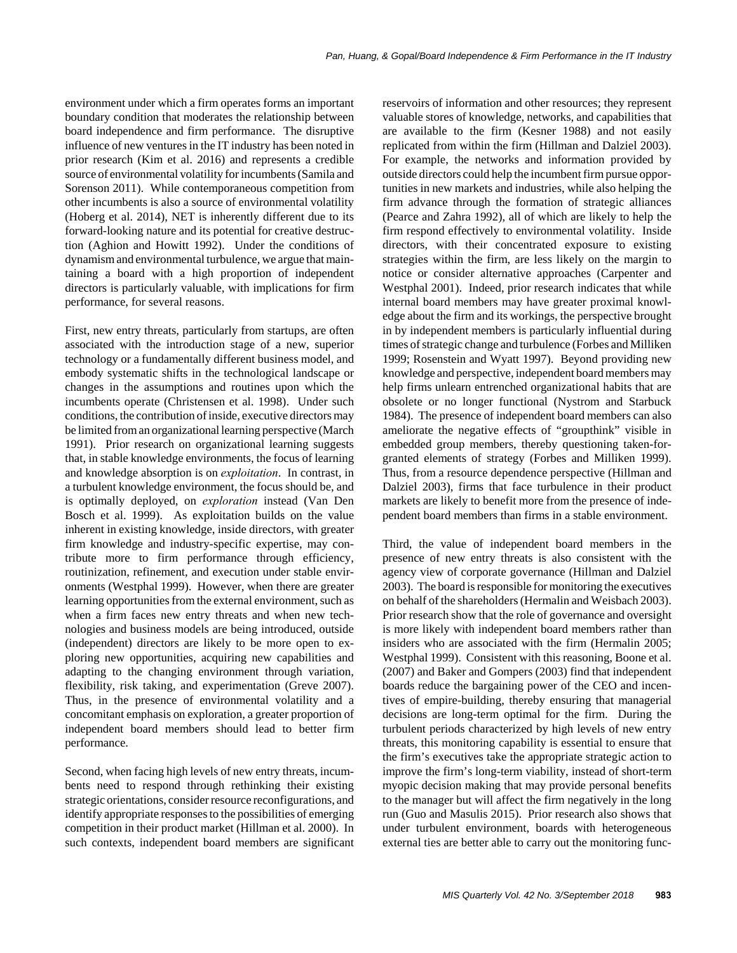environment under which a firm operates forms an important boundary condition that moderates the relationship between board independence and firm performance. The disruptive influence of new ventures in the IT industry has been noted in prior research (Kim et al. 2016) and represents a credible source of environmental volatility for incumbents (Samila and Sorenson 2011). While contemporaneous competition from other incumbents is also a source of environmental volatility (Hoberg et al. 2014), NET is inherently different due to its forward-looking nature and its potential for creative destruction (Aghion and Howitt 1992). Under the conditions of dynamism and environmental turbulence, we argue that maintaining a board with a high proportion of independent directors is particularly valuable, with implications for firm performance, for several reasons.

First, new entry threats, particularly from startups, are often associated with the introduction stage of a new, superior technology or a fundamentally different business model, and embody systematic shifts in the technological landscape or changes in the assumptions and routines upon which the incumbents operate (Christensen et al. 1998). Under such conditions, the contribution of inside, executive directors may be limited from an organizational learning perspective (March 1991). Prior research on organizational learning suggests that, in stable knowledge environments, the focus of learning and knowledge absorption is on *exploitation*. In contrast, in a turbulent knowledge environment, the focus should be, and is optimally deployed, on *exploration* instead (Van Den Bosch et al. 1999). As exploitation builds on the value inherent in existing knowledge, inside directors, with greater firm knowledge and industry-specific expertise, may contribute more to firm performance through efficiency, routinization, refinement, and execution under stable environments (Westphal 1999). However, when there are greater learning opportunities from the external environment, such as when a firm faces new entry threats and when new technologies and business models are being introduced, outside (independent) directors are likely to be more open to exploring new opportunities, acquiring new capabilities and adapting to the changing environment through variation, flexibility, risk taking, and experimentation (Greve 2007). Thus, in the presence of environmental volatility and a concomitant emphasis on exploration, a greater proportion of independent board members should lead to better firm performance.

Second, when facing high levels of new entry threats, incumbents need to respond through rethinking their existing strategic orientations, consider resource reconfigurations, and identify appropriate responses to the possibilities of emerging competition in their product market (Hillman et al. 2000). In such contexts, independent board members are significant reservoirs of information and other resources; they represent valuable stores of knowledge, networks, and capabilities that are available to the firm (Kesner 1988) and not easily replicated from within the firm (Hillman and Dalziel 2003). For example, the networks and information provided by outside directors could help the incumbent firm pursue opportunities in new markets and industries, while also helping the firm advance through the formation of strategic alliances (Pearce and Zahra 1992), all of which are likely to help the firm respond effectively to environmental volatility. Inside directors, with their concentrated exposure to existing strategies within the firm, are less likely on the margin to notice or consider alternative approaches (Carpenter and Westphal 2001). Indeed, prior research indicates that while internal board members may have greater proximal knowledge about the firm and its workings, the perspective brought in by independent members is particularly influential during times of strategic change and turbulence (Forbes and Milliken 1999; Rosenstein and Wyatt 1997). Beyond providing new knowledge and perspective, independent board members may help firms unlearn entrenched organizational habits that are obsolete or no longer functional (Nystrom and Starbuck 1984). The presence of independent board members can also ameliorate the negative effects of "groupthink" visible in embedded group members, thereby questioning taken-forgranted elements of strategy (Forbes and Milliken 1999). Thus, from a resource dependence perspective (Hillman and Dalziel 2003), firms that face turbulence in their product markets are likely to benefit more from the presence of independent board members than firms in a stable environment.

Third, the value of independent board members in the presence of new entry threats is also consistent with the agency view of corporate governance (Hillman and Dalziel 2003). The board is responsible for monitoring the executives on behalf of the shareholders (Hermalin and Weisbach 2003). Prior research show that the role of governance and oversight is more likely with independent board members rather than insiders who are associated with the firm (Hermalin 2005; Westphal 1999). Consistent with this reasoning, Boone et al. (2007) and Baker and Gompers (2003) find that independent boards reduce the bargaining power of the CEO and incentives of empire-building, thereby ensuring that managerial decisions are long-term optimal for the firm. During the turbulent periods characterized by high levels of new entry threats, this monitoring capability is essential to ensure that the firm's executives take the appropriate strategic action to improve the firm's long-term viability, instead of short-term myopic decision making that may provide personal benefits to the manager but will affect the firm negatively in the long run (Guo and Masulis 2015). Prior research also shows that under turbulent environment, boards with heterogeneous external ties are better able to carry out the monitoring func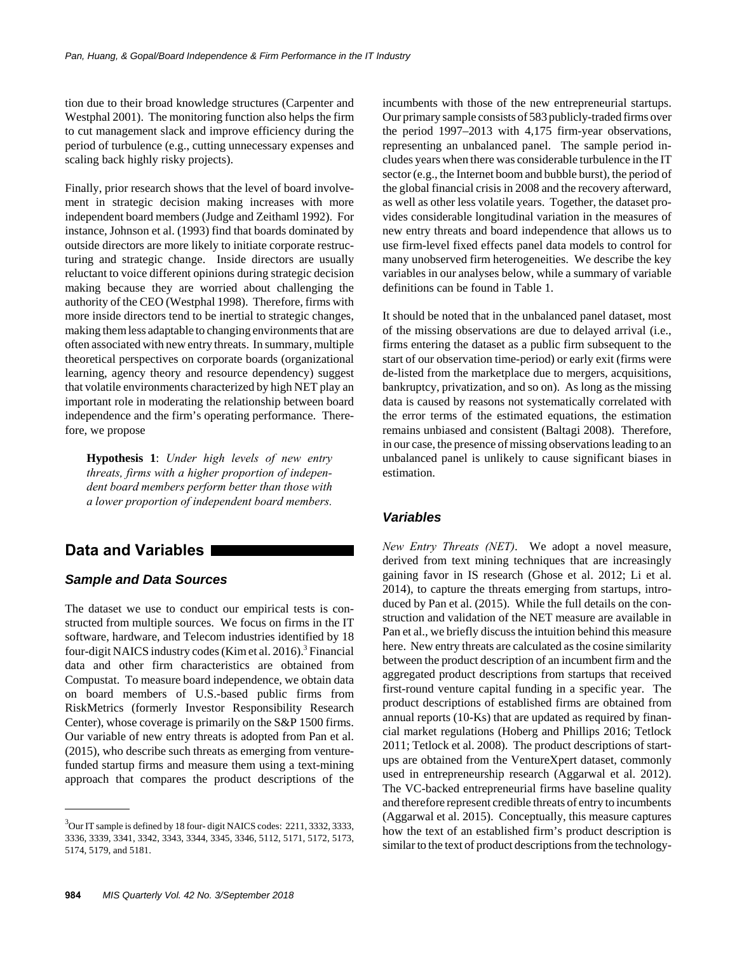tion due to their broad knowledge structures (Carpenter and Westphal 2001). The monitoring function also helps the firm to cut management slack and improve efficiency during the period of turbulence (e.g., cutting unnecessary expenses and scaling back highly risky projects).

Finally, prior research shows that the level of board involvement in strategic decision making increases with more independent board members (Judge and Zeithaml 1992). For instance, Johnson et al. (1993) find that boards dominated by outside directors are more likely to initiate corporate restructuring and strategic change. Inside directors are usually reluctant to voice different opinions during strategic decision making because they are worried about challenging the authority of the CEO (Westphal 1998). Therefore, firms with more inside directors tend to be inertial to strategic changes, making them less adaptable to changing environments that are often associated with new entry threats. In summary, multiple theoretical perspectives on corporate boards (organizational learning, agency theory and resource dependency) suggest that volatile environments characterized by high NET play an important role in moderating the relationship between board independence and the firm's operating performance. Therefore, we propose

**Hypothesis 1**: *Under high levels of new entry threats, firms with a higher proportion of independent board members perform better than those with a lower proportion of independent board members.*

## **Data and Variables**

## *Sample and Data Sources*

The dataset we use to conduct our empirical tests is constructed from multiple sources. We focus on firms in the IT software, hardware, and Telecom industries identified by 18 four-digit NAICS industry codes (Kim et al. 2016).<sup>3</sup> Financial data and other firm characteristics are obtained from Compustat. To measure board independence, we obtain data on board members of U.S.-based public firms from RiskMetrics (formerly Investor Responsibility Research Center), whose coverage is primarily on the S&P 1500 firms. Our variable of new entry threats is adopted from Pan et al. (2015), who describe such threats as emerging from venturefunded startup firms and measure them using a text-mining approach that compares the product descriptions of the incumbents with those of the new entrepreneurial startups. Our primary sample consists of 583 publicly-traded firms over the period 1997–2013 with 4,175 firm-year observations, representing an unbalanced panel. The sample period includes years when there was considerable turbulence in the IT sector (e.g., the Internet boom and bubble burst), the period of the global financial crisis in 2008 and the recovery afterward, as well as other less volatile years. Together, the dataset provides considerable longitudinal variation in the measures of new entry threats and board independence that allows us to use firm-level fixed effects panel data models to control for many unobserved firm heterogeneities. We describe the key variables in our analyses below, while a summary of variable definitions can be found in Table 1.

It should be noted that in the unbalanced panel dataset, most of the missing observations are due to delayed arrival (i.e., firms entering the dataset as a public firm subsequent to the start of our observation time-period) or early exit (firms were de-listed from the marketplace due to mergers, acquisitions, bankruptcy, privatization, and so on). As long as the missing data is caused by reasons not systematically correlated with the error terms of the estimated equations, the estimation remains unbiased and consistent (Baltagi 2008). Therefore, in our case, the presence of missing observations leading to an unbalanced panel is unlikely to cause significant biases in estimation.

## *Variables*

*New Entry Threats (NET)*. We adopt a novel measure, derived from text mining techniques that are increasingly gaining favor in IS research (Ghose et al. 2012; Li et al. 2014), to capture the threats emerging from startups, introduced by Pan et al. (2015). While the full details on the construction and validation of the NET measure are available in Pan et al., we briefly discuss the intuition behind this measure here. New entry threats are calculated as the cosine similarity between the product description of an incumbent firm and the aggregated product descriptions from startups that received first-round venture capital funding in a specific year. The product descriptions of established firms are obtained from annual reports (10-Ks) that are updated as required by financial market regulations (Hoberg and Phillips 2016; Tetlock 2011; Tetlock et al. 2008). The product descriptions of startups are obtained from the VentureXpert dataset, commonly used in entrepreneurship research (Aggarwal et al. 2012). The VC-backed entrepreneurial firms have baseline quality and therefore represent credible threats of entry to incumbents (Aggarwal et al. 2015). Conceptually, this measure captures how the text of an established firm's product description is similar to the text of product descriptions from the technology-

 $3$ Our IT sample is defined by 18 four-digit NAICS codes: 2211, 3332, 3333, 3336, 3339, 3341, 3342, 3343, 3344, 3345, 3346, 5112, 5171, 5172, 5173, 5174, 5179, and 5181.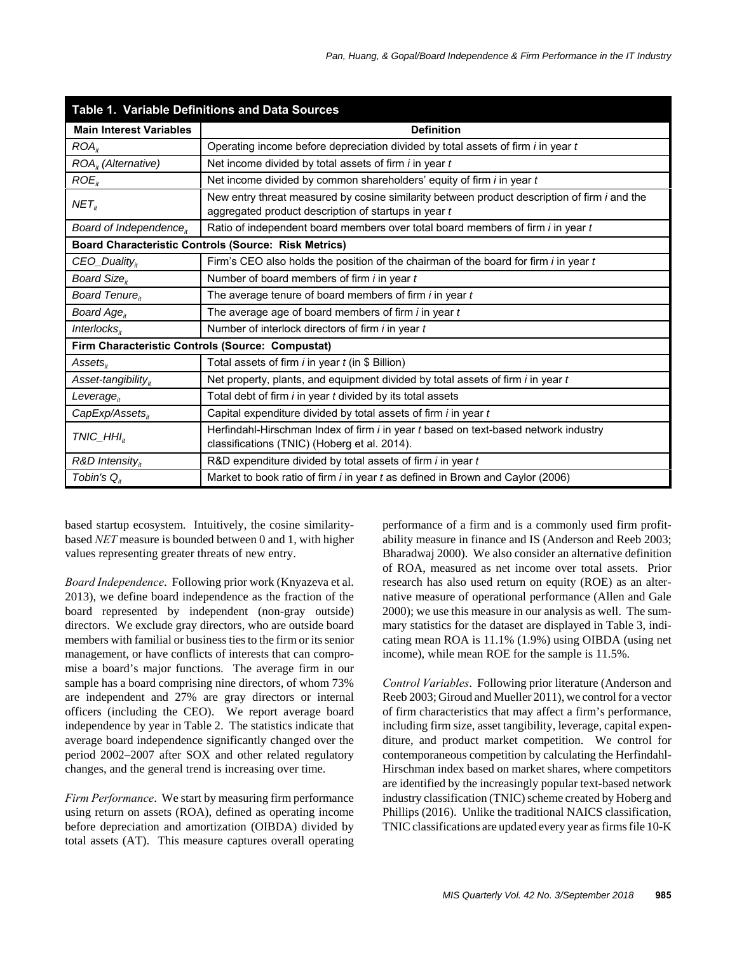| Table 1. Variable Definitions and Data Sources |                                                                                                                                                             |  |  |  |  |  |  |  |
|------------------------------------------------|-------------------------------------------------------------------------------------------------------------------------------------------------------------|--|--|--|--|--|--|--|
| <b>Main Interest Variables</b>                 | <b>Definition</b>                                                                                                                                           |  |  |  |  |  |  |  |
| ROA <sub>it</sub>                              | Operating income before depreciation divided by total assets of firm <i>i</i> in year t                                                                     |  |  |  |  |  |  |  |
| $ROAit$ (Alternative)                          | Net income divided by total assets of firm <i>i</i> in year t                                                                                               |  |  |  |  |  |  |  |
| $ROE_{it}$                                     | Net income divided by common shareholders' equity of firm <i>i</i> in year t                                                                                |  |  |  |  |  |  |  |
| NET <sub>it</sub>                              | New entry threat measured by cosine similarity between product description of firm <i>i</i> and the<br>aggregated product description of startups in year t |  |  |  |  |  |  |  |
| Board of Independence $_{it}$                  | Ratio of independent board members over total board members of firm <i>i</i> in year t                                                                      |  |  |  |  |  |  |  |
|                                                | <b>Board Characteristic Controls (Source: Risk Metrics)</b>                                                                                                 |  |  |  |  |  |  |  |
| $CEO_$ <i>Duality</i> <sup><i>*</i></sup>      | Firm's CEO also holds the position of the chairman of the board for firm $i$ in year $t$                                                                    |  |  |  |  |  |  |  |
| Board Size <sub>it</sub>                       | Number of board members of firm <i>i</i> in year t                                                                                                          |  |  |  |  |  |  |  |
| Board Tenure <sub>it</sub>                     | The average tenure of board members of firm $i$ in year $t$                                                                                                 |  |  |  |  |  |  |  |
| Board $Ageit$                                  | The average age of board members of firm $i$ in year $t$                                                                                                    |  |  |  |  |  |  |  |
| Interlocks $_{it}$                             | Number of interlock directors of firm <i>i</i> in year <i>t</i>                                                                                             |  |  |  |  |  |  |  |
|                                                | Firm Characteristic Controls (Source: Compustat)                                                                                                            |  |  |  |  |  |  |  |
| $Assets_{\mu}$                                 | Total assets of firm $i$ in year $t$ (in \$ Billion)                                                                                                        |  |  |  |  |  |  |  |
| Asset-tangibility $_{it}$                      | Net property, plants, and equipment divided by total assets of firm $i$ in year $t$                                                                         |  |  |  |  |  |  |  |
| Leverage $_{it}$                               | Total debt of firm <i>i</i> in year <i>t</i> divided by its total assets                                                                                    |  |  |  |  |  |  |  |
| $CapExp/Assets_{it}$                           | Capital expenditure divided by total assets of firm <i>i</i> in year t                                                                                      |  |  |  |  |  |  |  |
| $TNIC$ _HHI <sub>it</sub>                      | Herfindahl-Hirschman Index of firm i in year t based on text-based network industry<br>classifications (TNIC) (Hoberg et al. 2014).                         |  |  |  |  |  |  |  |
| $R&D$ Intensity <sub>it</sub>                  | R&D expenditure divided by total assets of firm <i>i</i> in year <i>t</i>                                                                                   |  |  |  |  |  |  |  |
| Tobin's $Q_{it}$                               | Market to book ratio of firm <i>i</i> in year t as defined in Brown and Caylor (2006)                                                                       |  |  |  |  |  |  |  |

based startup ecosystem. Intuitively, the cosine similaritybased *NET* measure is bounded between 0 and 1, with higher values representing greater threats of new entry.

*Board Independence*. Following prior work (Knyazeva et al. 2013), we define board independence as the fraction of the board represented by independent (non-gray outside) directors. We exclude gray directors, who are outside board members with familial or business ties to the firm or its senior management, or have conflicts of interests that can compromise a board's major functions. The average firm in our sample has a board comprising nine directors, of whom 73% are independent and 27% are gray directors or internal officers (including the CEO). We report average board independence by year in Table 2. The statistics indicate that average board independence significantly changed over the period 2002–2007 after SOX and other related regulatory changes, and the general trend is increasing over time.

*Firm Performance*. We start by measuring firm performance using return on assets (ROA), defined as operating income before depreciation and amortization (OIBDA) divided by total assets (AT). This measure captures overall operating performance of a firm and is a commonly used firm profitability measure in finance and IS (Anderson and Reeb 2003; Bharadwaj 2000). We also consider an alternative definition of ROA, measured as net income over total assets. Prior research has also used return on equity (ROE) as an alternative measure of operational performance (Allen and Gale 2000); we use this measure in our analysis as well. The summary statistics for the dataset are displayed in Table 3, indicating mean ROA is 11.1% (1.9%) using OIBDA (using net income), while mean ROE for the sample is 11.5%.

*Control Variables*. Following prior literature (Anderson and Reeb 2003; Giroud and Mueller 2011), we control for a vector of firm characteristics that may affect a firm's performance, including firm size, asset tangibility, leverage, capital expenditure, and product market competition. We control for contemporaneous competition by calculating the Herfindahl-Hirschman index based on market shares, where competitors are identified by the increasingly popular text-based network industry classification (TNIC) scheme created by Hoberg and Phillips (2016). Unlike the traditional NAICS classification, TNIC classifications are updated every year as firms file 10-K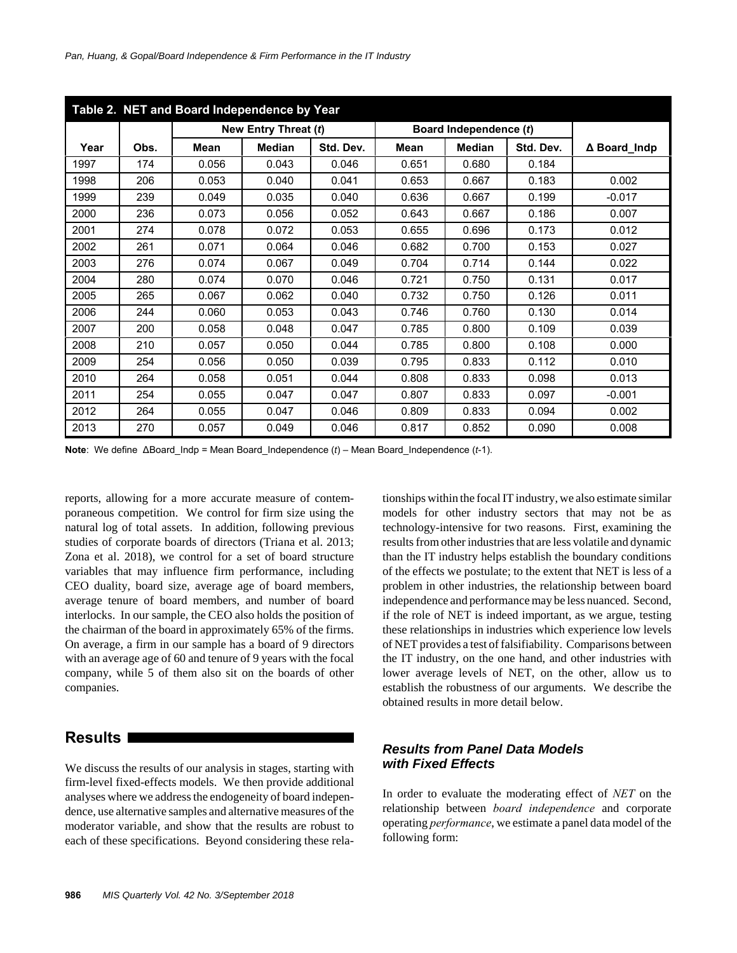| Table 2. NET and Board Independence by Year |      |       |                      |           |       |                        |           |              |  |  |
|---------------------------------------------|------|-------|----------------------|-----------|-------|------------------------|-----------|--------------|--|--|
|                                             |      |       | New Entry Threat (t) |           |       | Board Independence (t) |           |              |  |  |
| Year                                        | Obs. | Mean  | <b>Median</b>        | Std. Dev. | Mean  | <b>Median</b>          | Std. Dev. | ∆ Board Indp |  |  |
| 1997                                        | 174  | 0.056 | 0.043                | 0.046     | 0.651 | 0.680                  | 0.184     |              |  |  |
| 1998                                        | 206  | 0.053 | 0.040                | 0.041     | 0.653 | 0.667                  | 0.183     | 0.002        |  |  |
| 1999                                        | 239  | 0.049 | 0.035                | 0.040     | 0.636 | 0.667                  | 0.199     | $-0.017$     |  |  |
| 2000                                        | 236  | 0.073 | 0.056                | 0.052     | 0.643 | 0.667                  | 0.186     | 0.007        |  |  |
| 2001                                        | 274  | 0.078 | 0.072                | 0.053     | 0.655 | 0.696                  | 0.173     | 0.012        |  |  |
| 2002                                        | 261  | 0.071 | 0.064                | 0.046     | 0.682 | 0.700                  | 0.153     | 0.027        |  |  |
| 2003                                        | 276  | 0.074 | 0.067                | 0.049     | 0.704 | 0.714                  | 0.144     | 0.022        |  |  |
| 2004                                        | 280  | 0.074 | 0.070                | 0.046     | 0.721 | 0.750                  | 0.131     | 0.017        |  |  |
| 2005                                        | 265  | 0.067 | 0.062                | 0.040     | 0.732 | 0.750                  | 0.126     | 0.011        |  |  |
| 2006                                        | 244  | 0.060 | 0.053                | 0.043     | 0.746 | 0.760                  | 0.130     | 0.014        |  |  |
| 2007                                        | 200  | 0.058 | 0.048                | 0.047     | 0.785 | 0.800                  | 0.109     | 0.039        |  |  |
| 2008                                        | 210  | 0.057 | 0.050                | 0.044     | 0.785 | 0.800                  | 0.108     | 0.000        |  |  |
| 2009                                        | 254  | 0.056 | 0.050                | 0.039     | 0.795 | 0.833                  | 0.112     | 0.010        |  |  |
| 2010                                        | 264  | 0.058 | 0.051                | 0.044     | 0.808 | 0.833                  | 0.098     | 0.013        |  |  |
| 2011                                        | 254  | 0.055 | 0.047                | 0.047     | 0.807 | 0.833                  | 0.097     | $-0.001$     |  |  |
| 2012                                        | 264  | 0.055 | 0.047                | 0.046     | 0.809 | 0.833                  | 0.094     | 0.002        |  |  |
| 2013                                        | 270  | 0.057 | 0.049                | 0.046     | 0.817 | 0.852                  | 0.090     | 0.008        |  |  |

**Note**: We define ∆Board\_Indp = Mean Board\_Independence (*t*) – Mean Board\_Independence (*t*-1).

reports, allowing for a more accurate measure of contemporaneous competition. We control for firm size using the natural log of total assets. In addition, following previous studies of corporate boards of directors (Triana et al. 2013; Zona et al. 2018), we control for a set of board structure variables that may influence firm performance, including CEO duality, board size, average age of board members, average tenure of board members, and number of board interlocks. In our sample, the CEO also holds the position of the chairman of the board in approximately 65% of the firms. On average, a firm in our sample has a board of 9 directors with an average age of 60 and tenure of 9 years with the focal company, while 5 of them also sit on the boards of other companies.

## **Results**

We discuss the results of our analysis in stages, starting with firm-level fixed-effects models. We then provide additional analyses where we address the endogeneity of board independence, use alternative samples and alternative measures of the moderator variable, and show that the results are robust to each of these specifications. Beyond considering these relationships within the focal IT industry, we also estimate similar models for other industry sectors that may not be as technology-intensive for two reasons. First, examining the results from other industries that are less volatile and dynamic than the IT industry helps establish the boundary conditions of the effects we postulate; to the extent that NET is less of a problem in other industries, the relationship between board independence and performance may be less nuanced. Second, if the role of NET is indeed important, as we argue, testing these relationships in industries which experience low levels of NET provides a test of falsifiability. Comparisons between the IT industry, on the one hand, and other industries with lower average levels of NET, on the other, allow us to establish the robustness of our arguments. We describe the obtained results in more detail below.

## *Results from Panel Data Models with Fixed Effects*

In order to evaluate the moderating effect of *NET* on the relationship between *board independence* and corporate operating *performance*, we estimate a panel data model of the following form: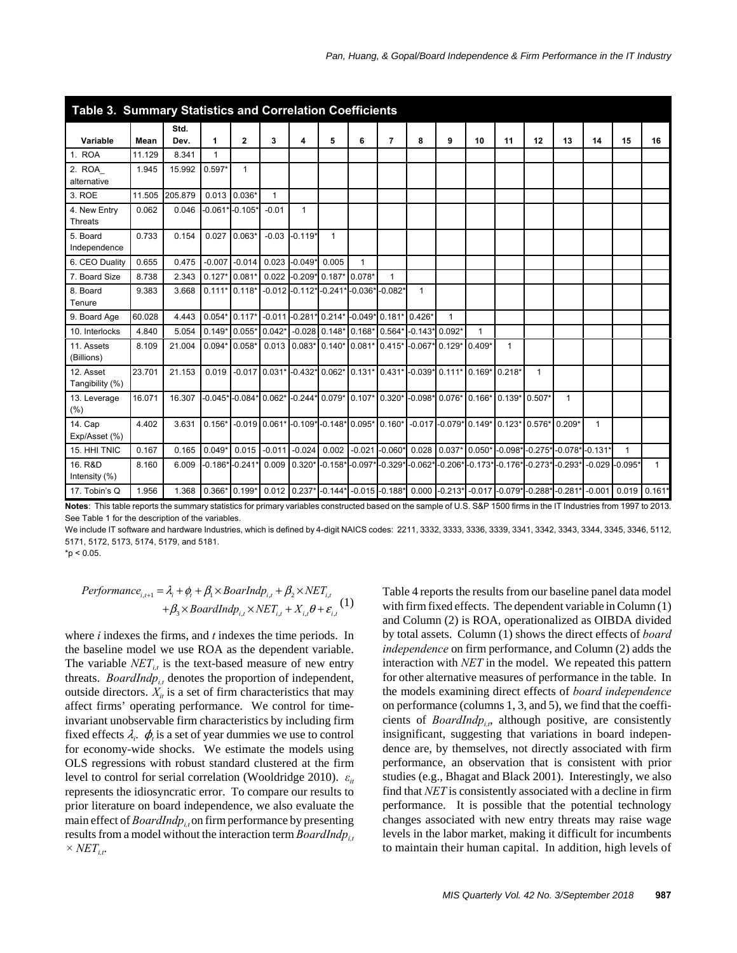| Table 3. Summary Statistics and Correlation Coefficients |        |              |              |                                                                                      |                 |           |                                             |              |                   |                    |                                                    |          |              |                                                                                  |              |                  |                       |              |
|----------------------------------------------------------|--------|--------------|--------------|--------------------------------------------------------------------------------------|-----------------|-----------|---------------------------------------------|--------------|-------------------|--------------------|----------------------------------------------------|----------|--------------|----------------------------------------------------------------------------------|--------------|------------------|-----------------------|--------------|
| Variable                                                 | Mean   | Std.<br>Dev. | 1            | $\mathbf{2}$                                                                         | 3               | 4         | 5                                           | 6            | $\overline{7}$    | 8                  | 9                                                  | 10       | 11           | 12                                                                               | 13           | 14               | 15                    | 16           |
| 1. ROA                                                   | 11.129 | 8.341        | $\mathbf{1}$ |                                                                                      |                 |           |                                             |              |                   |                    |                                                    |          |              |                                                                                  |              |                  |                       |              |
| 2. ROA<br>alternative                                    | 1.945  | 15.992       | $0.597*$     | $\mathbf{1}$                                                                         |                 |           |                                             |              |                   |                    |                                                    |          |              |                                                                                  |              |                  |                       |              |
| 3. ROE                                                   | 11.505 | 205.879      | 0.013        | $0.036*$                                                                             | 1               |           |                                             |              |                   |                    |                                                    |          |              |                                                                                  |              |                  |                       |              |
| 4. New Entry<br><b>Threats</b>                           | 0.062  | 0.046        |              | $-0.061* -0.105*$                                                                    | $-0.01$         | 1         |                                             |              |                   |                    |                                                    |          |              |                                                                                  |              |                  |                       |              |
| 5. Board<br>Independence                                 | 0.733  | 0.154        | 0.027        | $0.063*$                                                                             | $-0.03$         | $-0.119*$ | $\mathbf{1}$                                |              |                   |                    |                                                    |          |              |                                                                                  |              |                  |                       |              |
| 6. CEO Duality                                           | 0.655  | 0.475        | $-0.007$     | $-0.014$                                                                             | 0.023           | $-0.049*$ | 0.005                                       | $\mathbf{1}$ |                   |                    |                                                    |          |              |                                                                                  |              |                  |                       |              |
| 7. Board Size                                            | 8.738  | 2.343        | $0.127*$     | $0.081*$                                                                             | 0.022           |           | $-0.209*0.187*$                             | $0.078*$     | $\mathbf 1$       |                    |                                                    |          |              |                                                                                  |              |                  |                       |              |
| 8. Board<br>Tenure                                       | 9.383  | 3.668        |              | $0.111*0.118*$                                                                       |                 |           | $-0.012$ $-0.112$ * $-0.241$ * $-0.036$ *   |              | $-0.082*$         | $\mathbf{1}$       |                                                    |          |              |                                                                                  |              |                  |                       |              |
| 9. Board Age                                             | 60.028 | 4.443        | $0.054*$     |                                                                                      |                 |           | 0.117* -0.011 -0.281* 0.214* -0.049* 0.181* |              |                   | $0.426*$           | $\mathbf{1}$                                       |          |              |                                                                                  |              |                  |                       |              |
| 10. Interlocks                                           | 4.840  | 5.054        | $0.149*$     | $0.055*$                                                                             | $0.042*$        |           | $-0.028$ 0.148* 0.168*                      |              | $0.564*$          | $-0.143*0.092*$    |                                                    | 1        |              |                                                                                  |              |                  |                       |              |
| 11. Assets<br>(Billions)                                 | 8.109  | 21.004       | $0.094*$     | $0.058*$                                                                             | 0.013           | $0.083*$  | $0.140*0.081*$                              |              | $0.415*$          | $-0.067$ $0.129$ * |                                                    | $0.409*$ | $\mathbf{1}$ |                                                                                  |              |                  |                       |              |
| 12. Asset<br>Tangibility (%)                             | 23.701 | 21.153       | 0.019        |                                                                                      | $-0.017$ 0.031* |           |                                             |              |                   |                    | -0.432* 0.062* 0.131* 0.431* -0.039* 0.111* 0.169* |          | $0.218*$     | $\mathbf{1}$                                                                     |              |                  |                       |              |
| 13. Leverage<br>(%)                                      | 16.071 | 16.307       |              | -0.045*L0.084*L0.062*L0.244*L0.079*L0.107*L0.320*L0.098*L0.076*L0.166*L0.139*L0.507* |                 |           |                                             |              |                   |                    |                                                    |          |              |                                                                                  | $\mathbf{1}$ |                  |                       |              |
| 14. Cap<br>Exp/Asset (%)                                 | 4.402  | 3.631        | $0.156*$     |                                                                                      | $-0.019$ 0.061* | $-0.109*$ | $-0.148*0.095*$                             |              | $0.160*$          |                    | $-0.017$ $-0.079$ $0.149$                          |          | $0.123*$     | 0.576*                                                                           | $0.209*$     | $\mathbf{1}$     |                       |              |
| 15. HHI TNIC                                             | 0.167  | 0.165        | $0.049*$     | 0.015                                                                                | $-0.011$        | $-0.024$  | 0.002                                       |              | $-0.021 - 0.060*$ |                    | $0.028$ 0.037*                                     | $0.050*$ |              | $-0.098$ * $-0.275$ * $-0.078$ *                                                 |              | $-0.131'$        | $\mathbf{1}$          |              |
| 16. R&D<br>Intensity (%)                                 | 8.160  | 6.009        |              | $-0.186* -0.241*$                                                                    | 0.009           | $0.320*$  |                                             |              |                   |                    |                                                    |          |              | -0.158* -0.097* -0.329* -0.062* -0.206* -0.173* -0.176* -0.273* -0.293*          |              | $-0.029 - 0.095$ |                       | $\mathbf{1}$ |
| 17. Tobin's Q                                            | 1.956  | 1.368        |              | $0.366*$ 0.199*                                                                      |                 |           |                                             |              |                   |                    |                                                    |          |              | 0.012 0.237* -0.144* -0.015 -0.188* 0.000 -0.213* -0.017 -0.079* -0.288* -0.281* |              |                  | $-0.001$ 0.019 0.161* |              |

**Notes**: This table reports the summary statistics for primary variables constructed based on the sample of U.S. S&P 1500 firms in the IT Industries from 1997 to 2013. See Table 1 for the description of the variables.

We include IT software and hardware Industries, which is defined by 4-digit NAICS codes: 2211, 3332, 3333, 3336, 3339, 3341, 3342, 3343, 3344, 3345, 3346, 5112, 5171, 5172, 5173, 5174, 5179, and 5181.

 $*p < 0.05$ .

$$
Performance_{i,t+1} = \lambda_i + \phi_i + \beta_1 \times BoardMap_{i,t} + \beta_2 \times NET_{i,t} + \beta_3 \times BoardMap_{i,t} \times NET_{i,t} + X_{i,t} \theta + \varepsilon_{i,t} (1)
$$

where *i* indexes the firms, and *t* indexes the time periods. In the baseline model we use ROA as the dependent variable. The variable  $NET_{it}$  is the text-based measure of new entry threats. *BoardIndp*<sub>it</sub> denotes the proportion of independent, outside directors.  $X_{it}$  is a set of firm characteristics that may affect firms' operating performance. We control for timeinvariant unobservable firm characteristics by including firm fixed effects  $\lambda_i$ .  $\phi$ <sub>i</sub> is a set of year dummies we use to control for economy-wide shocks. We estimate the models using OLS regressions with robust standard clustered at the firm level to control for serial correlation (Wooldridge 2010). *ε<sub>it</sub>* represents the idiosyncratic error. To compare our results to prior literature on board independence, we also evaluate the main effect of *BoardIndp<sub>it</sub>* on firm performance by presenting results from a model without the interaction term *BoardIndp<sub>it</sub>*  $\times NET_{it}$ .

Table 4 reports the results from our baseline panel data model with firm fixed effects. The dependent variable in Column (1) and Column (2) is ROA, operationalized as OIBDA divided by total assets. Column (1) shows the direct effects of *board independence* on firm performance, and Column (2) adds the interaction with *NET* in the model. We repeated this pattern for other alternative measures of performance in the table. In the models examining direct effects of *board independence* on performance (columns 1, 3, and 5), we find that the coefficients of *BoardIndp<sub>in</sub>*, although positive, are consistently insignificant, suggesting that variations in board independence are, by themselves, not directly associated with firm performance, an observation that is consistent with prior studies (e.g., Bhagat and Black 2001). Interestingly, we also find that *NET* is consistently associated with a decline in firm performance. It is possible that the potential technology changes associated with new entry threats may raise wage levels in the labor market, making it difficult for incumbents to maintain their human capital. In addition, high levels of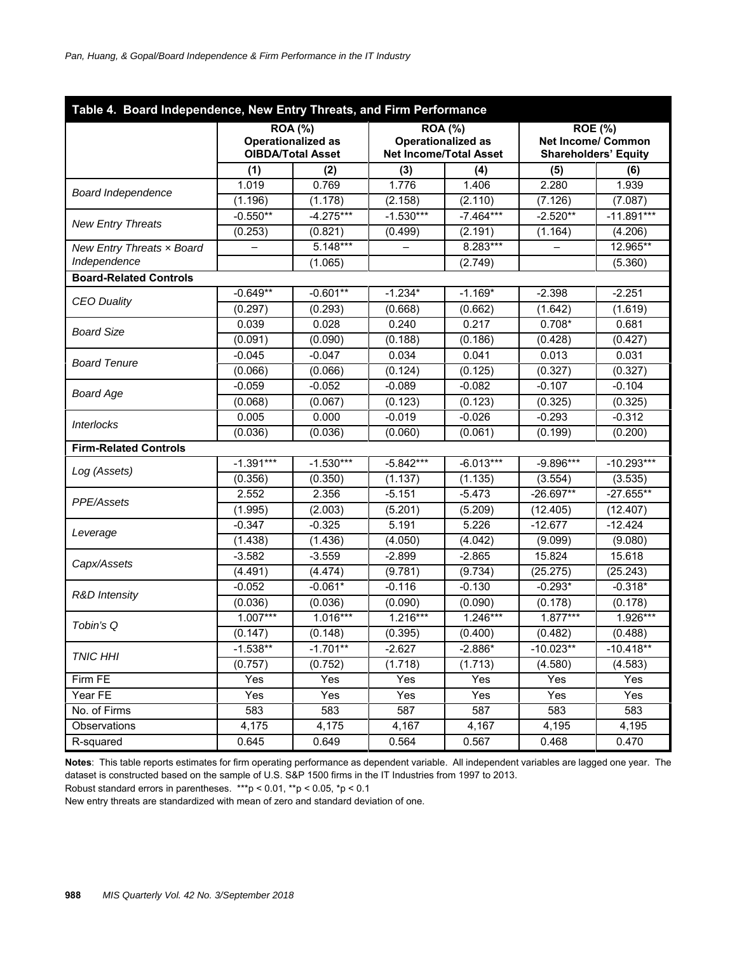| Table 4. Board Independence, New Entry Threats, and Firm Performance |             |                                                                         |                |                                                            |                                                                            |              |  |  |  |
|----------------------------------------------------------------------|-------------|-------------------------------------------------------------------------|----------------|------------------------------------------------------------|----------------------------------------------------------------------------|--------------|--|--|--|
|                                                                      |             | <b>ROA (%)</b><br><b>Operationalized as</b><br><b>OIBDA/Total Asset</b> | <b>ROA (%)</b> | <b>Operationalized as</b><br><b>Net Income/Total Asset</b> | <b>ROE (%)</b><br><b>Net Income/ Common</b><br><b>Shareholders' Equity</b> |              |  |  |  |
|                                                                      | (1)         | (2)                                                                     | (3)            | (4)                                                        | (5)                                                                        | (6)          |  |  |  |
|                                                                      | 1.019       | 0.769                                                                   | 1.776          | 1.406                                                      | 2.280                                                                      | 1.939        |  |  |  |
| <b>Board Independence</b>                                            | (1.196)     | (1.178)                                                                 | (2.158)        | (2.110)                                                    | (7.126)                                                                    | (7.087)      |  |  |  |
|                                                                      | $-0.550**$  | $-4.275***$                                                             | $-1.530***$    | $-7.464***$                                                | $-2.520**$                                                                 | $-11.891***$ |  |  |  |
| <b>New Entry Threats</b>                                             | (0.253)     | (0.821)                                                                 | (0.499)        | (2.191)                                                    | (1.164)                                                                    | (4.206)      |  |  |  |
| New Entry Threats x Board                                            |             | $5.148***$                                                              |                | 8.283***                                                   |                                                                            | 12.965**     |  |  |  |
| Independence                                                         |             | (1.065)                                                                 |                | (2.749)                                                    |                                                                            | (5.360)      |  |  |  |
| <b>Board-Related Controls</b>                                        |             |                                                                         |                |                                                            |                                                                            |              |  |  |  |
|                                                                      | $-0.649**$  | $-0.601**$                                                              | $-1.234*$      | $-1.169*$                                                  | $-2.398$                                                                   | $-2.251$     |  |  |  |
| <b>CEO Duality</b>                                                   | (0.297)     | (0.293)                                                                 | (0.668)        | (0.662)                                                    | (1.642)                                                                    | (1.619)      |  |  |  |
| <b>Board Size</b>                                                    | 0.039       | 0.028                                                                   | 0.240          | 0.217                                                      | $0.708*$                                                                   | 0.681        |  |  |  |
|                                                                      | (0.091)     | (0.090)                                                                 | (0.188)        | (0.186)                                                    | (0.428)                                                                    | (0.427)      |  |  |  |
|                                                                      | $-0.045$    | $-0.047$                                                                | 0.034          | 0.041                                                      | 0.013                                                                      | 0.031        |  |  |  |
| <b>Board Tenure</b>                                                  | (0.066)     | (0.066)                                                                 | (0.124)        | (0.125)                                                    | (0.327)                                                                    | (0.327)      |  |  |  |
|                                                                      | $-0.059$    | $-0.052$                                                                | $-0.089$       | $-0.082$                                                   | $-0.107$                                                                   | $-0.104$     |  |  |  |
| <b>Board Age</b>                                                     | (0.068)     | (0.067)                                                                 | (0.123)        | (0.123)                                                    | (0.325)                                                                    | (0.325)      |  |  |  |
| <b>Interlocks</b>                                                    | 0.005       | 0.000                                                                   | $-0.019$       | $-0.026$                                                   | $-0.293$                                                                   | $-0.312$     |  |  |  |
|                                                                      | (0.036)     | (0.036)                                                                 | (0.060)        | (0.061)                                                    | (0.199)                                                                    | (0.200)      |  |  |  |
| <b>Firm-Related Controls</b>                                         |             |                                                                         |                |                                                            |                                                                            |              |  |  |  |
| Log (Assets)                                                         | $-1.391***$ | $-1.530***$                                                             | $-5.842***$    | $-6.013***$                                                | -9.896***                                                                  | $-10.293***$ |  |  |  |
|                                                                      | (0.356)     | (0.350)                                                                 | (1.137)        | (1.135)                                                    | (3.554)                                                                    | (3.535)      |  |  |  |
| PPE/Assets                                                           | 2.552       | 2.356                                                                   | $-5.151$       | $-5.473$                                                   | $-26.697**$                                                                | $-27.655**$  |  |  |  |
|                                                                      | (1.995)     | (2.003)                                                                 | (5.201)        | (5.209)                                                    | (12.405)                                                                   | (12.407)     |  |  |  |
|                                                                      | $-0.347$    | $-0.325$                                                                | 5.191          | 5.226                                                      | $-12.677$                                                                  | $-12.424$    |  |  |  |
| Leverage                                                             | (1.438)     | (1.436)                                                                 | (4.050)        | (4.042)                                                    | (9.099)                                                                    | (9.080)      |  |  |  |
| Capx/Assets                                                          | $-3.582$    | $-3.559$                                                                | $-2.899$       | $-2.865$                                                   | 15.824                                                                     | 15.618       |  |  |  |
|                                                                      | (4.491)     | (4.474)                                                                 | (9.781)        | (9.734)                                                    | (25.275)                                                                   | (25.243)     |  |  |  |
| <b>R&amp;D</b> Intensity                                             | $-0.052$    | $-0.061*$                                                               | $-0.116$       | $-0.130$                                                   | $-0.293*$                                                                  | $-0.318*$    |  |  |  |
|                                                                      | (0.036)     | (0.036)                                                                 | (0.090)        | (0.090)                                                    | (0.178)                                                                    | (0.178)      |  |  |  |
| Tobin's Q                                                            | $1.007***$  | $1.016***$                                                              | 1.216***       | 1.246***                                                   | $1.877***$                                                                 | $1.926***$   |  |  |  |
|                                                                      | (0.147)     | (0.148)                                                                 | (0.395)        | (0.400)                                                    | (0.482)                                                                    | (0.488)      |  |  |  |
| <b>TNIC HHI</b>                                                      | $-1.538**$  | $-1.701**$                                                              | -2.627         | $-2.886*$                                                  | $-10.023**$                                                                | $-10.418**$  |  |  |  |
|                                                                      | (0.757)     | (0.752)                                                                 | (1.718)        | (1.713)                                                    | (4.580)                                                                    | (4.583)      |  |  |  |
| Firm FE                                                              | Yes         | Yes                                                                     | Yes            | Yes                                                        | Yes                                                                        | Yes          |  |  |  |
| Year FE                                                              | Yes         | Yes                                                                     | Yes            | Yes                                                        | Yes                                                                        | Yes          |  |  |  |
| No. of Firms                                                         | 583         | 583                                                                     | 587            | 587                                                        | 583                                                                        | 583          |  |  |  |
| Observations                                                         | 4,175       | 4,175                                                                   | 4,167          | 4,167                                                      | 4,195                                                                      | 4,195        |  |  |  |
| R-squared                                                            | 0.645       | 0.649                                                                   | 0.564          | 0.567                                                      | 0.468                                                                      | 0.470        |  |  |  |

**Notes**: This table reports estimates for firm operating performance as dependent variable. All independent variables are lagged one year. The dataset is constructed based on the sample of U.S. S&P 1500 firms in the IT Industries from 1997 to 2013.

Robust standard errors in parentheses. \*\*\*p < 0.01, \*\*p < 0.05, \*p < 0.1

New entry threats are standardized with mean of zero and standard deviation of one.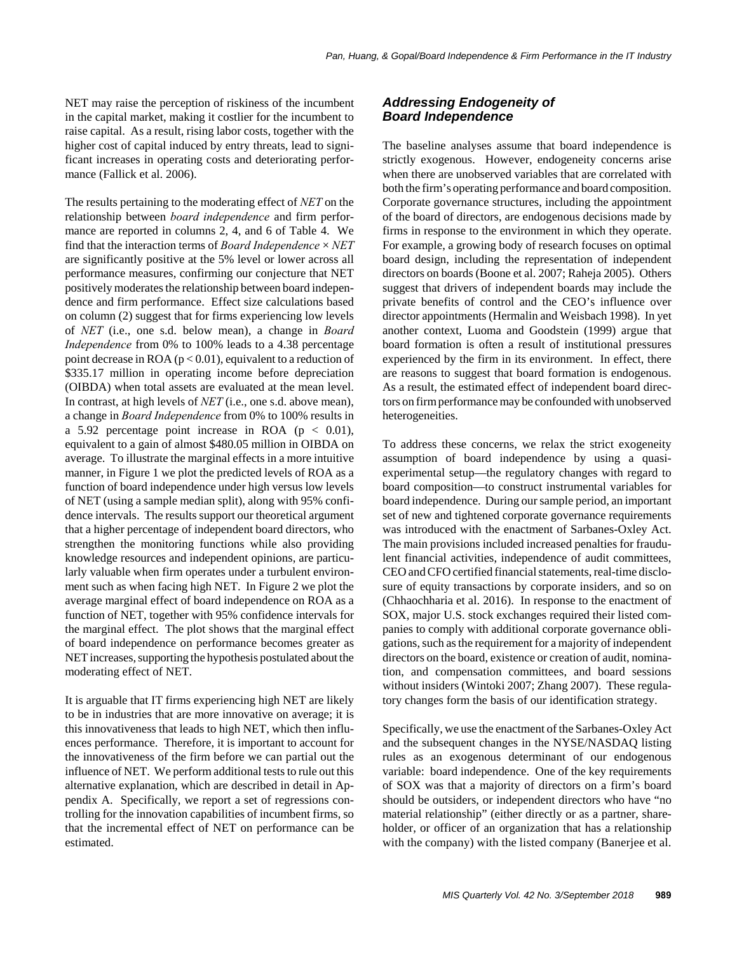NET may raise the perception of riskiness of the incumbent in the capital market, making it costlier for the incumbent to raise capital. As a result, rising labor costs, together with the higher cost of capital induced by entry threats, lead to significant increases in operating costs and deteriorating performance (Fallick et al. 2006).

The results pertaining to the moderating effect of *NET* on the relationship between *board independence* and firm performance are reported in columns 2, 4, and 6 of Table 4. We find that the interaction terms of *Board Independence* × *NET* are significantly positive at the 5% level or lower across all performance measures, confirming our conjecture that NET positively moderates the relationship between board independence and firm performance. Effect size calculations based on column (2) suggest that for firms experiencing low levels of *NET* (i.e., one s.d. below mean), a change in *Board Independence* from 0% to 100% leads to a 4.38 percentage point decrease in ROA  $(p < 0.01)$ , equivalent to a reduction of \$335.17 million in operating income before depreciation (OIBDA) when total assets are evaluated at the mean level. In contrast, at high levels of *NET* (i.e., one s.d. above mean), a change in *Board Independence* from 0% to 100% results in a 5.92 percentage point increase in ROA  $(p < 0.01)$ , equivalent to a gain of almost \$480.05 million in OIBDA on average. To illustrate the marginal effects in a more intuitive manner, in Figure 1 we plot the predicted levels of ROA as a function of board independence under high versus low levels of NET (using a sample median split), along with 95% confidence intervals. The results support our theoretical argument that a higher percentage of independent board directors, who strengthen the monitoring functions while also providing knowledge resources and independent opinions, are particularly valuable when firm operates under a turbulent environment such as when facing high NET. In Figure 2 we plot the average marginal effect of board independence on ROA as a function of NET, together with 95% confidence intervals for the marginal effect. The plot shows that the marginal effect of board independence on performance becomes greater as NET increases, supporting the hypothesis postulated about the moderating effect of NET.

It is arguable that IT firms experiencing high NET are likely to be in industries that are more innovative on average; it is this innovativeness that leads to high NET, which then influences performance. Therefore, it is important to account for the innovativeness of the firm before we can partial out the influence of NET. We perform additional tests to rule out this alternative explanation, which are described in detail in Appendix A. Specifically, we report a set of regressions controlling for the innovation capabilities of incumbent firms, so that the incremental effect of NET on performance can be estimated.

## *Addressing Endogeneity of Board Independence*

The baseline analyses assume that board independence is strictly exogenous. However, endogeneity concerns arise when there are unobserved variables that are correlated with both the firm's operating performance and board composition. Corporate governance structures, including the appointment of the board of directors, are endogenous decisions made by firms in response to the environment in which they operate. For example, a growing body of research focuses on optimal board design, including the representation of independent directors on boards (Boone et al. 2007; Raheja 2005). Others suggest that drivers of independent boards may include the private benefits of control and the CEO's influence over director appointments (Hermalin and Weisbach 1998). In yet another context, Luoma and Goodstein (1999) argue that board formation is often a result of institutional pressures experienced by the firm in its environment. In effect, there are reasons to suggest that board formation is endogenous. As a result, the estimated effect of independent board directors on firm performance may be confounded with unobserved heterogeneities.

To address these concerns, we relax the strict exogeneity assumption of board independence by using a quasiexperimental setup—the regulatory changes with regard to board composition—to construct instrumental variables for board independence. During our sample period, an important set of new and tightened corporate governance requirements was introduced with the enactment of Sarbanes-Oxley Act. The main provisions included increased penalties for fraudulent financial activities, independence of audit committees, CEO and CFO certified financial statements, real-time disclosure of equity transactions by corporate insiders, and so on (Chhaochharia et al. 2016). In response to the enactment of SOX, major U.S. stock exchanges required their listed companies to comply with additional corporate governance obligations, such as the requirement for a majority of independent directors on the board, existence or creation of audit, nomination, and compensation committees, and board sessions without insiders (Wintoki 2007; Zhang 2007). These regulatory changes form the basis of our identification strategy.

Specifically, we use the enactment of the Sarbanes-Oxley Act and the subsequent changes in the NYSE/NASDAQ listing rules as an exogenous determinant of our endogenous variable: board independence. One of the key requirements of SOX was that a majority of directors on a firm's board should be outsiders, or independent directors who have "no material relationship" (either directly or as a partner, shareholder, or officer of an organization that has a relationship with the company) with the listed company (Banerjee et al.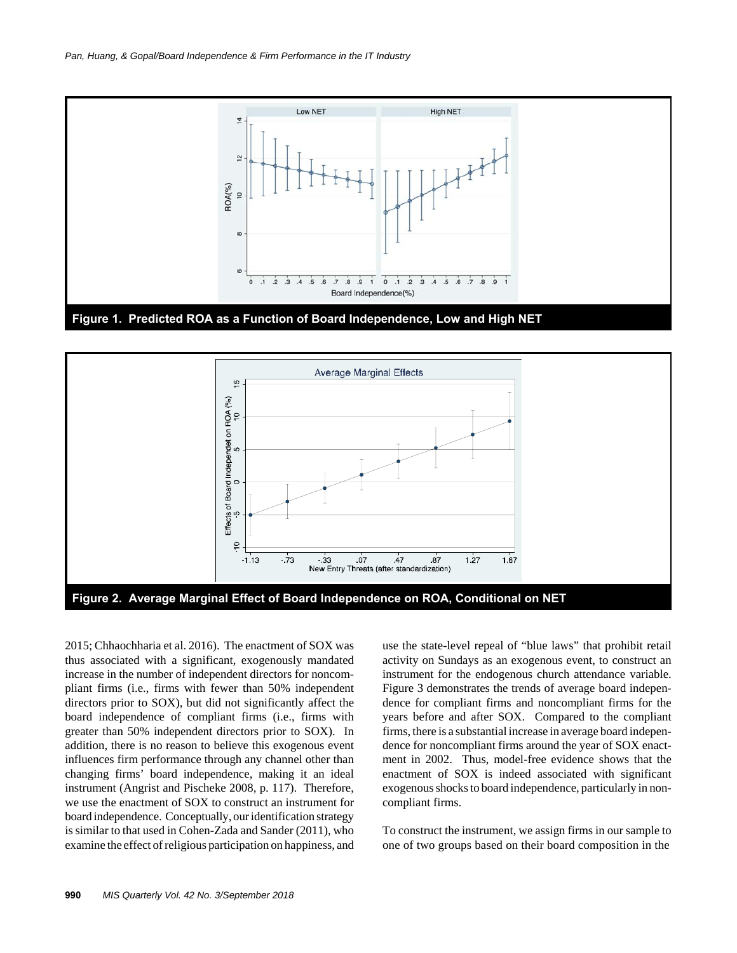



2015; Chhaochharia et al. 2016). The enactment of SOX was thus associated with a significant, exogenously mandated increase in the number of independent directors for noncompliant firms (i.e., firms with fewer than 50% independent directors prior to SOX), but did not significantly affect the board independence of compliant firms (i.e., firms with greater than 50% independent directors prior to SOX). In addition, there is no reason to believe this exogenous event influences firm performance through any channel other than changing firms' board independence, making it an ideal instrument (Angrist and Pischeke 2008, p. 117). Therefore, we use the enactment of SOX to construct an instrument for board independence. Conceptually, our identification strategy is similar to that used in Cohen-Zada and Sander (2011), who examine the effect of religious participation on happiness, and use the state-level repeal of "blue laws" that prohibit retail activity on Sundays as an exogenous event, to construct an instrument for the endogenous church attendance variable. Figure 3 demonstrates the trends of average board independence for compliant firms and noncompliant firms for the years before and after SOX. Compared to the compliant firms, there is a substantial increase in average board independence for noncompliant firms around the year of SOX enactment in 2002. Thus, model-free evidence shows that the enactment of SOX is indeed associated with significant exogenous shocks to board independence, particularly in noncompliant firms.

To construct the instrument, we assign firms in our sample to one of two groups based on their board composition in the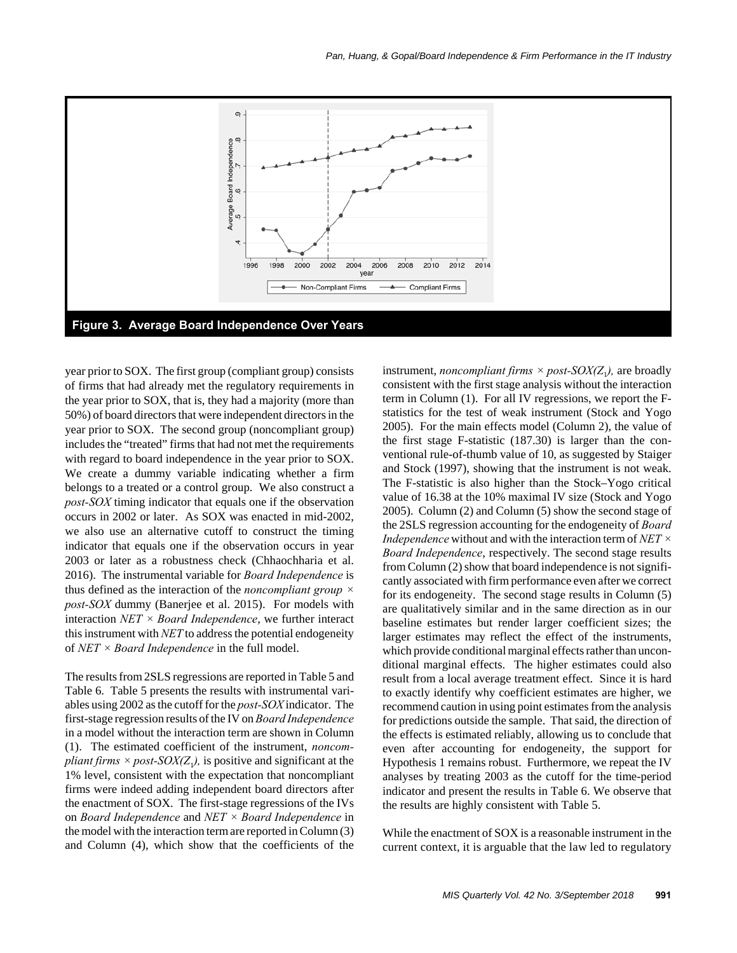

year prior to SOX. The first group (compliant group) consists of firms that had already met the regulatory requirements in the year prior to SOX, that is, they had a majority (more than 50%) of board directors that were independent directors in the year prior to SOX. The second group (noncompliant group) includes the "treated" firms that had not met the requirements with regard to board independence in the year prior to SOX. We create a dummy variable indicating whether a firm belongs to a treated or a control group. We also construct a *post-SOX* timing indicator that equals one if the observation occurs in 2002 or later. As SOX was enacted in mid-2002, we also use an alternative cutoff to construct the timing indicator that equals one if the observation occurs in year 2003 or later as a robustness check (Chhaochharia et al. 2016). The instrumental variable for *Board Independence* is thus defined as the interaction of the *noncompliant group × post-SOX* dummy (Banerjee et al. 2015). For models with interaction *NET × Board Independence*, we further interact this instrument with *NET* to address the potential endogeneity of *NET × Board Independence* in the full model.

The results from 2SLS regressions are reported in Table 5 and Table 6. Table 5 presents the results with instrumental variables using 2002 as the cutoff for the *post-SOX* indicator. The first-stage regression results of the IV on *Board Independence* in a model without the interaction term are shown in Column (1). The estimated coefficient of the instrument, *noncompliant firms*  $\times$  *post-SOX(Z<sub>1</sub>),* is positive and significant at the 1% level, consistent with the expectation that noncompliant firms were indeed adding independent board directors after the enactment of SOX. The first-stage regressions of the IVs on *Board Independence* and *NET × Board Independence* in the model with the interaction term are reported in Column (3) and Column (4), which show that the coefficients of the instrument, *noncompliant firms*  $\times$  *post-SOX(Z<sub>1</sub>)*, are broadly consistent with the first stage analysis without the interaction term in Column (1). For all IV regressions, we report the Fstatistics for the test of weak instrument (Stock and Yogo 2005). For the main effects model (Column 2), the value of the first stage F-statistic (187.30) is larger than the conventional rule-of-thumb value of 10, as suggested by Staiger and Stock (1997), showing that the instrument is not weak. The F-statistic is also higher than the Stock–Yogo critical value of 16.38 at the 10% maximal IV size (Stock and Yogo 2005). Column (2) and Column (5) show the second stage of the 2SLS regression accounting for the endogeneity of *Board Independence* without and with the interaction term of *NET × Board Independence*, respectively. The second stage results from Column (2) show that board independence is not significantly associated with firm performance even after we correct for its endogeneity. The second stage results in Column (5) are qualitatively similar and in the same direction as in our baseline estimates but render larger coefficient sizes; the larger estimates may reflect the effect of the instruments, which provide conditional marginal effects rather than unconditional marginal effects. The higher estimates could also result from a local average treatment effect. Since it is hard to exactly identify why coefficient estimates are higher, we recommend caution in using point estimates from the analysis for predictions outside the sample. That said, the direction of the effects is estimated reliably, allowing us to conclude that even after accounting for endogeneity, the support for Hypothesis 1 remains robust. Furthermore, we repeat the IV analyses by treating 2003 as the cutoff for the time-period indicator and present the results in Table 6. We observe that the results are highly consistent with Table 5.

While the enactment of SOX is a reasonable instrument in the current context, it is arguable that the law led to regulatory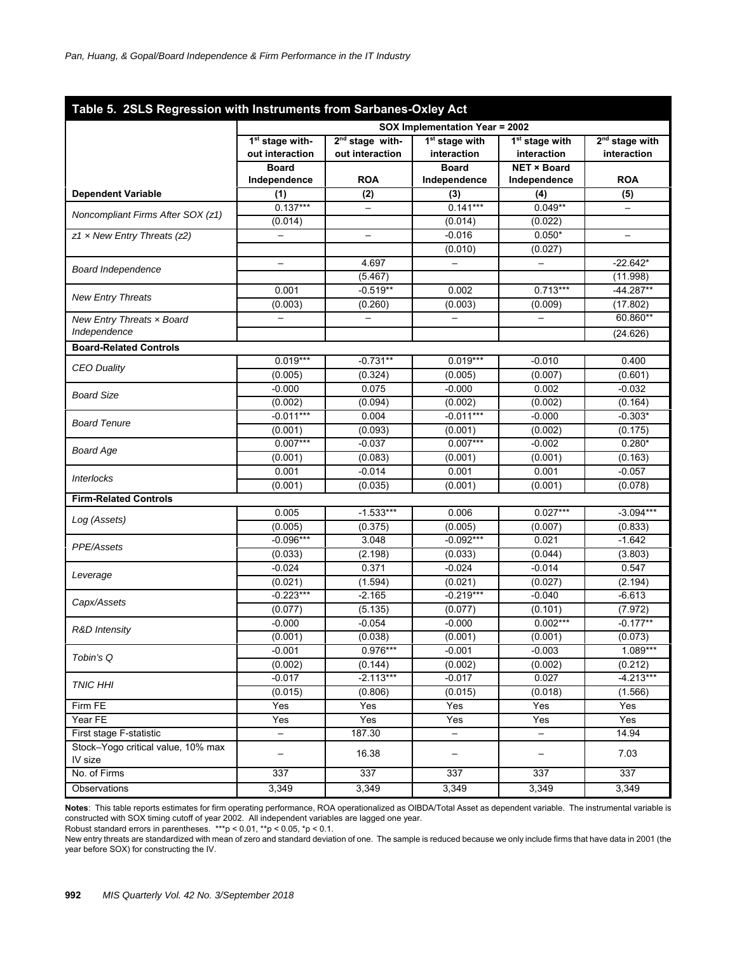| Table 5. 2SLS Regression with Instruments from Sarbanes-Oxley Act |                                                |                                      |                                           |                                           |                                 |  |  |  |  |
|-------------------------------------------------------------------|------------------------------------------------|--------------------------------------|-------------------------------------------|-------------------------------------------|---------------------------------|--|--|--|--|
|                                                                   | SOX Implementation Year = 2002                 |                                      |                                           |                                           |                                 |  |  |  |  |
|                                                                   | 1 <sup>st</sup> stage with-<br>out interaction | $2nd stage with-$<br>out interaction | 1 <sup>st</sup> stage with<br>interaction | 1 <sup>st</sup> stage with<br>interaction | $2nd$ stage with<br>interaction |  |  |  |  |
|                                                                   | <b>Board</b>                                   |                                      | <b>Board</b>                              | <b>NET × Board</b>                        |                                 |  |  |  |  |
|                                                                   | Independence                                   | <b>ROA</b>                           | Independence                              | Independence                              | <b>ROA</b>                      |  |  |  |  |
| <b>Dependent Variable</b>                                         | (1)                                            | (2)                                  | (3)                                       | (4)                                       | (5)                             |  |  |  |  |
| Noncompliant Firms After SOX (z1)                                 | $0.137***$                                     | $\overline{\phantom{0}}$             | $0.141***$                                | $0.049**$                                 |                                 |  |  |  |  |
|                                                                   | (0.014)                                        |                                      | (0.014)                                   | (0.022)                                   |                                 |  |  |  |  |
| $z1 \times$ New Entry Threats (z2)                                | $\qquad \qquad -$                              | $\overline{\phantom{m}}$             | $-0.016$                                  | $0.050*$                                  | $\qquad \qquad -$               |  |  |  |  |
|                                                                   |                                                | 4.697                                | (0.010)                                   | (0.027)                                   |                                 |  |  |  |  |
| Board Independence                                                | $\overline{\phantom{0}}$                       |                                      | —                                         | —                                         | $-22.642*$                      |  |  |  |  |
|                                                                   | 0.001                                          | (5.467)<br>$-0.519**$                | 0.002                                     | $0.713***$                                | (11.998)<br>$-44.287**$         |  |  |  |  |
| <b>New Entry Threats</b>                                          | (0.003)                                        | (0.260)                              | (0.003)                                   | (0.009)                                   | (17.802)                        |  |  |  |  |
|                                                                   |                                                |                                      |                                           |                                           | 60.860**                        |  |  |  |  |
| New Entry Threats x Board<br>Independence                         |                                                |                                      |                                           |                                           | (24.626)                        |  |  |  |  |
| <b>Board-Related Controls</b>                                     |                                                |                                      |                                           |                                           |                                 |  |  |  |  |
|                                                                   | $0.019***$                                     | $-0.731**$                           | $0.019***$                                | $-0.010$                                  | 0.400                           |  |  |  |  |
| <b>CEO Duality</b>                                                | (0.005)                                        | (0.324)                              | (0.005)                                   | (0.007)                                   | (0.601)                         |  |  |  |  |
|                                                                   | $-0.000$                                       | 0.075                                | $-0.000$                                  | 0.002                                     | $-0.032$                        |  |  |  |  |
| <b>Board Size</b>                                                 | (0.002)                                        | (0.094)                              | (0.002)                                   | (0.002)                                   | (0.164)                         |  |  |  |  |
|                                                                   | $-0.011***$                                    | 0.004                                | $-0.011***$                               | $-0.000$                                  | $-0.303*$                       |  |  |  |  |
| <b>Board Tenure</b>                                               | (0.001)                                        | (0.093)                              | (0.001)                                   | (0.002)                                   | (0.175)                         |  |  |  |  |
|                                                                   | $0.007***$                                     | $-0.037$                             | $0.007***$                                | $-0.002$                                  | $0.280*$                        |  |  |  |  |
| <b>Board Age</b>                                                  | (0.001)                                        | (0.083)                              | (0.001)                                   | (0.001)                                   | (0.163)                         |  |  |  |  |
| <i><b>Interlocks</b></i>                                          | 0.001                                          | $-0.014$                             | 0.001                                     | 0.001                                     | $-0.057$                        |  |  |  |  |
|                                                                   | (0.001)                                        | (0.035)                              | (0.001)                                   | (0.001)                                   | (0.078)                         |  |  |  |  |
| <b>Firm-Related Controls</b>                                      |                                                |                                      |                                           |                                           |                                 |  |  |  |  |
| Log (Assets)                                                      | 0.005                                          | $-1.533***$                          | 0.006                                     | $0.027***$                                | $-3.094***$                     |  |  |  |  |
|                                                                   | (0.005)                                        | (0.375)                              | (0.005)                                   | (0.007)                                   | (0.833)                         |  |  |  |  |
| PPE/Assets                                                        | $-0.096***$                                    | 3.048                                | $-0.092***$                               | 0.021                                     | $-1.642$                        |  |  |  |  |
|                                                                   | (0.033)                                        | (2.198)                              | (0.033)                                   | (0.044)                                   | (3.803)                         |  |  |  |  |
| Leverage                                                          | $-0.024$                                       | 0.371                                | $-0.024$                                  | $-0.014$                                  | 0.547                           |  |  |  |  |
|                                                                   | (0.021)                                        | (1.594)                              | (0.021)                                   | (0.027)                                   | (2.194)                         |  |  |  |  |
| Capx/Assets                                                       | $-0.223***$                                    | $-2.165$                             | $-0.219***$                               | $-0.040$                                  | $-6.613$                        |  |  |  |  |
|                                                                   | (0.077)                                        | (5.135)                              | (0.077)                                   | (0.101)                                   | (7.972)                         |  |  |  |  |
| <b>R&amp;D</b> Intensity                                          | $-0.000$                                       | $-0.054$                             | $-0.000$                                  | $0.002***$                                | $-0.177**$                      |  |  |  |  |
|                                                                   | (0.001)                                        | (0.038)                              | (0.001)                                   | (0.001)                                   | (0.073)                         |  |  |  |  |
| Tobin's Q                                                         | $-0.001$                                       | $0.976***$                           | $-0.001$                                  | $-0.003$                                  | $1.089***$                      |  |  |  |  |
|                                                                   | (0.002)                                        | (0.144)                              | (0.002)                                   | (0.002)                                   | (0.212)                         |  |  |  |  |
| <b>TNIC HHI</b>                                                   | $-0.017$                                       | $-2.113***$                          | $-0.017$                                  | 0.027                                     | $-4.213***$                     |  |  |  |  |
|                                                                   | (0.015)                                        | (0.806)                              | (0.015)                                   | (0.018)                                   | (1.566)                         |  |  |  |  |
| Firm FE                                                           | Yes                                            | Yes                                  | Yes                                       | Yes                                       | Yes                             |  |  |  |  |
| Year FE                                                           | Yes                                            | Yes                                  | Yes                                       | Yes                                       | Yes                             |  |  |  |  |
| First stage F-statistic                                           | $\qquad \qquad -$                              | 187.30                               | $\qquad \qquad -$                         | $\overline{\phantom{a}}$                  | 14.94                           |  |  |  |  |
| Stock-Yogo critical value, 10% max<br>IV size                     | $\overline{\phantom{0}}$                       | 16.38                                |                                           | $\qquad \qquad -$                         | 7.03                            |  |  |  |  |
| No. of Firms                                                      | 337                                            | 337                                  | 337                                       | 337                                       | 337                             |  |  |  |  |
| Observations                                                      | 3,349                                          | 3,349                                | 3,349                                     | 3,349                                     | 3,349                           |  |  |  |  |

**Notes**: This table reports estimates for firm operating performance, ROA operationalized as OIBDA/Total Asset as dependent variable. The instrumental variable is constructed with SOX timing cutoff of year 2002. All independent variables are lagged one year.

Robust standard errors in parentheses. \*\*\*p < 0.01, \*\*p < 0.05, \*p < 0.1.

New entry threats are standardized with mean of zero and standard deviation of one. The sample is reduced because we only include firms that have data in 2001 (the year before SOX) for constructing the IV.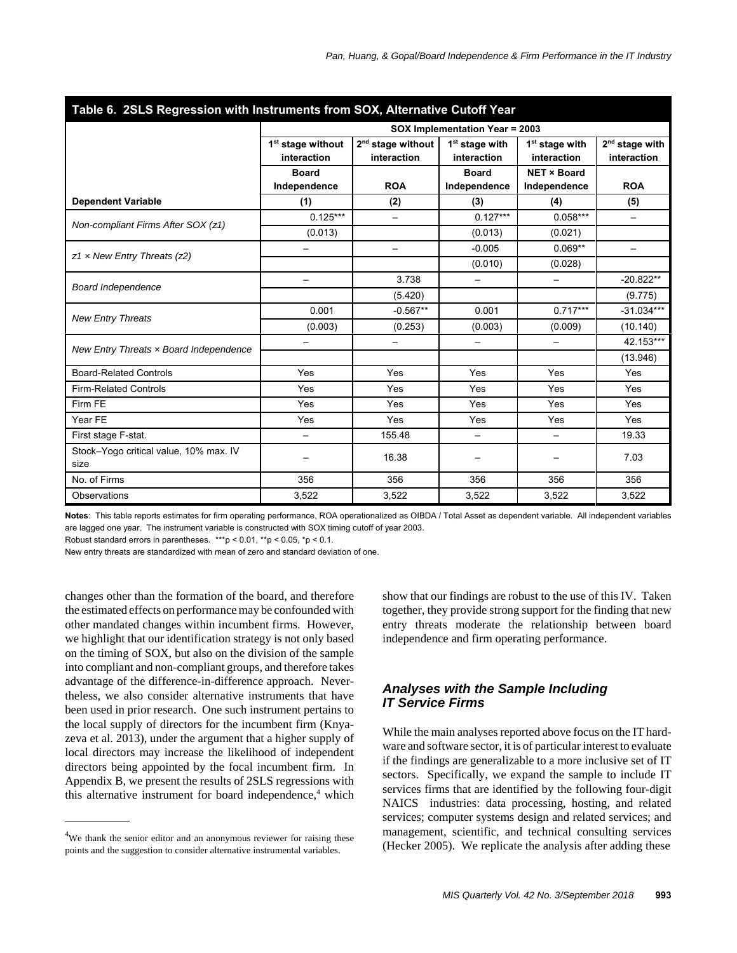| Table 6. 2SLS Regression with Instruments from SOX, Alternative Cutoff Year |                                              |                                    |                                           |                                           |                                           |  |  |  |  |
|-----------------------------------------------------------------------------|----------------------------------------------|------------------------------------|-------------------------------------------|-------------------------------------------|-------------------------------------------|--|--|--|--|
|                                                                             | SOX Implementation Year = 2003               |                                    |                                           |                                           |                                           |  |  |  |  |
|                                                                             | 1 <sup>st</sup> stage without<br>interaction | $2nd$ stage without<br>interaction | 1 <sup>st</sup> stage with<br>interaction | 1 <sup>st</sup> stage with<br>interaction | 2 <sup>nd</sup> stage with<br>interaction |  |  |  |  |
|                                                                             | <b>Board</b><br>Independence                 | <b>ROA</b>                         | <b>Board</b><br>Independence              | <b>NET × Board</b><br>Independence        | <b>ROA</b>                                |  |  |  |  |
| <b>Dependent Variable</b>                                                   | (1)                                          | (2)                                | (3)                                       | (4)                                       | (5)                                       |  |  |  |  |
|                                                                             | $0.125***$                                   |                                    | $0.127***$                                | $0.058***$                                | $\overline{\phantom{0}}$                  |  |  |  |  |
| Non-compliant Firms After SOX (z1)                                          | (0.013)                                      |                                    | (0.013)                                   | (0.021)                                   |                                           |  |  |  |  |
|                                                                             |                                              | $\overline{\phantom{0}}$           | $-0.005$                                  | $0.069**$                                 |                                           |  |  |  |  |
| $z1 \times$ New Entry Threats ( $z2$ )                                      |                                              |                                    | (0.010)                                   | (0.028)                                   |                                           |  |  |  |  |
|                                                                             |                                              | 3.738                              |                                           |                                           | $-20.822**$                               |  |  |  |  |
| <b>Board Independence</b>                                                   |                                              | (5.420)                            |                                           |                                           | (9.775)                                   |  |  |  |  |
| <b>New Entry Threats</b>                                                    | 0.001                                        | $-0.567**$                         | 0.001                                     | $0.717***$                                | $-31.034***$                              |  |  |  |  |
|                                                                             | (0.003)                                      | (0.253)                            | (0.003)                                   | (0.009)                                   | (10.140)                                  |  |  |  |  |
| New Entry Threats x Board Independence                                      |                                              | $\overline{\phantom{0}}$           | $\overline{\phantom{0}}$                  | $\qquad \qquad -$                         | 42.153***                                 |  |  |  |  |
|                                                                             |                                              |                                    |                                           |                                           | (13.946)                                  |  |  |  |  |
| <b>Board-Related Controls</b>                                               | Yes                                          | Yes                                | Yes                                       | Yes                                       | Yes                                       |  |  |  |  |
| <b>Firm-Related Controls</b>                                                | Yes                                          | Yes                                | Yes                                       | Yes                                       | Yes                                       |  |  |  |  |
| Firm FE                                                                     | Yes                                          | Yes                                | Yes                                       | Yes                                       | Yes                                       |  |  |  |  |
| Year FE                                                                     | Yes                                          | Yes                                | Yes                                       | Yes                                       | Yes                                       |  |  |  |  |
| First stage F-stat.                                                         |                                              | 155.48                             |                                           | $\overline{\phantom{0}}$                  | 19.33                                     |  |  |  |  |
| Stock-Yogo critical value, 10% max. IV<br>size                              |                                              | 16.38                              |                                           |                                           | 7.03                                      |  |  |  |  |
| No. of Firms                                                                | 356                                          | 356                                | 356                                       | 356                                       | 356                                       |  |  |  |  |
| Observations                                                                | 3,522                                        | 3,522                              | 3,522                                     | 3,522                                     | 3,522                                     |  |  |  |  |

|  |  | l  Table 6.  2SLS Regression with Instruments from SOX. Alternative Cutoff Year |  |
|--|--|---------------------------------------------------------------------------------|--|
|  |  |                                                                                 |  |

**Notes**: This table reports estimates for firm operating performance, ROA operationalized as OIBDA / Total Asset as dependent variable. All independent variables are lagged one year. The instrument variable is constructed with SOX timing cutoff of year 2003.

Robust standard errors in parentheses. \*\*\*p <  $0.01$ , \*\*p <  $0.05$ , \*p <  $0.1$ .

New entry threats are standardized with mean of zero and standard deviation of one.

changes other than the formation of the board, and therefore the estimated effects on performance may be confounded with other mandated changes within incumbent firms. However, we highlight that our identification strategy is not only based on the timing of SOX, but also on the division of the sample into compliant and non-compliant groups, and therefore takes advantage of the difference-in-difference approach. Nevertheless, we also consider alternative instruments that have been used in prior research. One such instrument pertains to the local supply of directors for the incumbent firm (Knyazeva et al. 2013), under the argument that a higher supply of local directors may increase the likelihood of independent directors being appointed by the focal incumbent firm. In Appendix B, we present the results of 2SLS regressions with this alternative instrument for board independence,<sup>4</sup> which

<sup>4</sup>We thank the senior editor and an anonymous reviewer for raising these points and the suggestion to consider alternative instrumental variables.

show that our findings are robust to the use of this IV. Taken together, they provide strong support for the finding that new entry threats moderate the relationship between board independence and firm operating performance.

## *Analyses with the Sample Including IT Service Firms*

While the main analyses reported above focus on the IT hardware and software sector, it is of particular interest to evaluate if the findings are generalizable to a more inclusive set of IT sectors. Specifically, we expand the sample to include IT services firms that are identified by the following four-digit NAICS industries: data processing, hosting, and related services; computer systems design and related services; and management, scientific, and technical consulting services (Hecker 2005). We replicate the analysis after adding these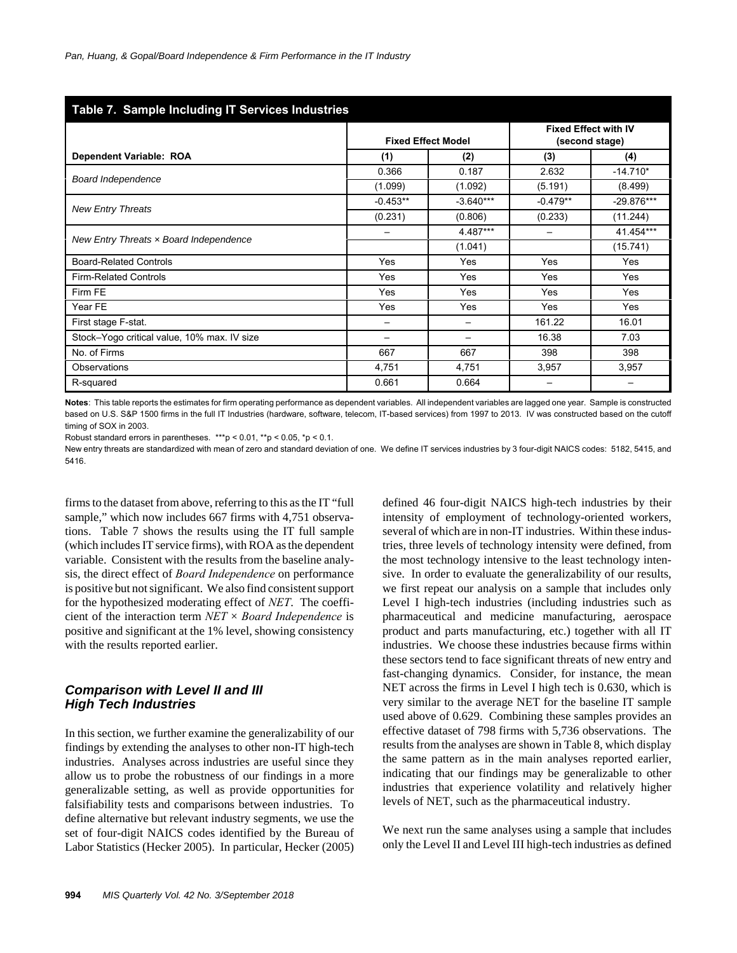| Table 7. Sample Including IT Services Industries |                           |             |                             |                          |  |  |  |  |  |  |
|--------------------------------------------------|---------------------------|-------------|-----------------------------|--------------------------|--|--|--|--|--|--|
|                                                  |                           |             | <b>Fixed Effect with IV</b> |                          |  |  |  |  |  |  |
|                                                  | <b>Fixed Effect Model</b> |             | (second stage)              |                          |  |  |  |  |  |  |
| Dependent Variable: ROA                          | (1)                       | (2)         | (3)                         | (4)                      |  |  |  |  |  |  |
| <b>Board Independence</b>                        | 0.366                     | 0.187       | 2.632                       | $-14.710*$               |  |  |  |  |  |  |
|                                                  | (1.099)                   | (1.092)     | (5.191)                     | (8.499)                  |  |  |  |  |  |  |
|                                                  | $-0.453**$                | $-3.640***$ | $-0.479**$                  | $-29.876***$             |  |  |  |  |  |  |
| <b>New Entry Threats</b>                         | (0.231)                   | (0.806)     | (0.233)                     | (11.244)                 |  |  |  |  |  |  |
|                                                  | $\overline{\phantom{0}}$  | 4.487***    | $\overline{\phantom{0}}$    | 41.454***                |  |  |  |  |  |  |
| New Entry Threats $x$ Board Independence         |                           | (1.041)     |                             | (15.741)                 |  |  |  |  |  |  |
| <b>Board-Related Controls</b>                    | Yes                       | Yes         | Yes                         | Yes                      |  |  |  |  |  |  |
| <b>Firm-Related Controls</b>                     | Yes                       | Yes         | Yes                         | Yes                      |  |  |  |  |  |  |
| Firm FE                                          | Yes                       | Yes         | Yes                         | Yes                      |  |  |  |  |  |  |
| Year FE                                          | Yes                       | Yes         | Yes                         | Yes                      |  |  |  |  |  |  |
| First stage F-stat.                              |                           |             | 161.22                      | 16.01                    |  |  |  |  |  |  |
| Stock-Yogo critical value, 10% max. IV size      |                           |             | 16.38                       | 7.03                     |  |  |  |  |  |  |
| No. of Firms                                     | 667                       | 667         | 398                         | 398                      |  |  |  |  |  |  |
| Observations                                     | 4,751                     | 4,751       | 3,957                       | 3,957                    |  |  |  |  |  |  |
| R-squared                                        | 0.661                     | 0.664       | $\overline{\phantom{m}}$    | $\overline{\phantom{0}}$ |  |  |  |  |  |  |

Notes: This table reports the estimates for firm operating performance as dependent variables. All independent variables are lagged one year. Sample is constructed based on U.S. S&P 1500 firms in the full IT Industries (hardware, software, telecom, IT-based services) from 1997 to 2013. IV was constructed based on the cutoff timing of SOX in 2003.

Robust standard errors in parentheses. \*\*\*p < 0.01, \*\*p < 0.05, \*p < 0.1.

New entry threats are standardized with mean of zero and standard deviation of one. We define IT services industries by 3 four-digit NAICS codes: 5182, 5415, and 5416.

firms to the dataset from above, referring to this as the IT "full sample," which now includes 667 firms with 4,751 observations. Table 7 shows the results using the IT full sample (which includes IT service firms), with ROA as the dependent variable. Consistent with the results from the baseline analysis, the direct effect of *Board Independence* on performance is positive but not significant. We also find consistent support for the hypothesized moderating effect of *NET*. The coefficient of the interaction term *NET* × *Board Independence* is positive and significant at the 1% level, showing consistency with the results reported earlier.

## *Comparison with Level II and III High Tech Industries*

In this section, we further examine the generalizability of our findings by extending the analyses to other non-IT high-tech industries. Analyses across industries are useful since they allow us to probe the robustness of our findings in a more generalizable setting, as well as provide opportunities for falsifiability tests and comparisons between industries. To define alternative but relevant industry segments, we use the set of four-digit NAICS codes identified by the Bureau of Labor Statistics (Hecker 2005). In particular, Hecker (2005)

defined 46 four-digit NAICS high-tech industries by their intensity of employment of technology-oriented workers, several of which are in non-IT industries. Within these industries, three levels of technology intensity were defined, from the most technology intensive to the least technology intensive. In order to evaluate the generalizability of our results, we first repeat our analysis on a sample that includes only Level I high-tech industries (including industries such as pharmaceutical and medicine manufacturing, aerospace product and parts manufacturing, etc.) together with all IT industries. We choose these industries because firms within these sectors tend to face significant threats of new entry and fast-changing dynamics. Consider, for instance, the mean NET across the firms in Level I high tech is 0.630, which is very similar to the average NET for the baseline IT sample used above of 0.629. Combining these samples provides an effective dataset of 798 firms with 5,736 observations. The results from the analyses are shown in Table 8, which display the same pattern as in the main analyses reported earlier, indicating that our findings may be generalizable to other industries that experience volatility and relatively higher levels of NET, such as the pharmaceutical industry.

We next run the same analyses using a sample that includes only the Level II and Level III high-tech industries as defined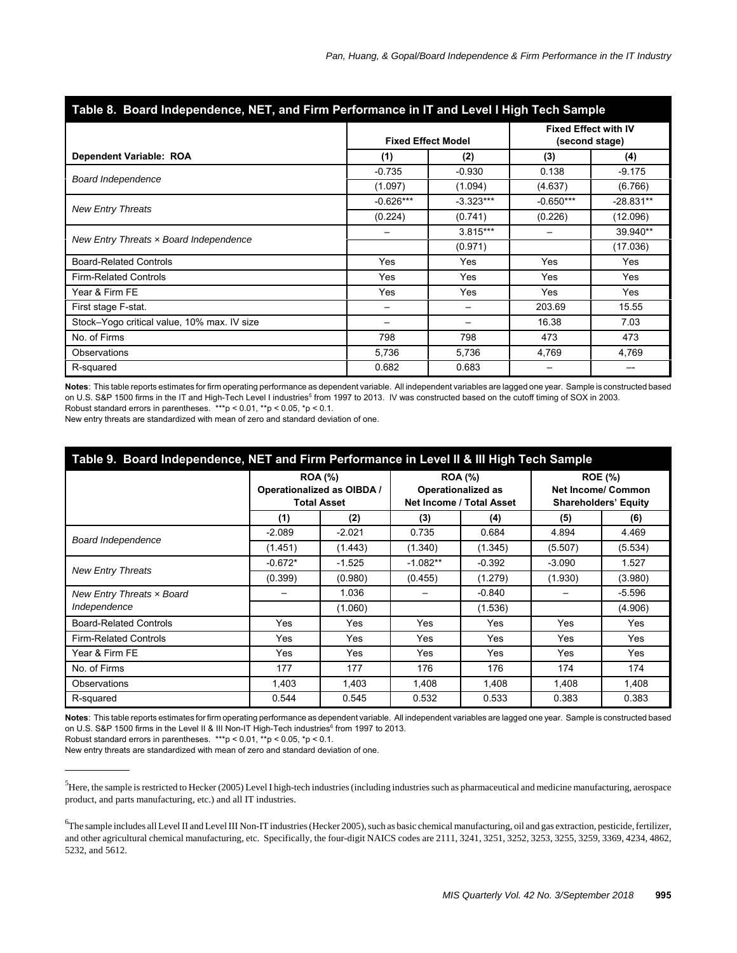| Table 8. Board Independence, NET, and Firm Performance in IT and Level I High Tech Sample |             |                           |                          |                                               |  |  |  |  |  |
|-------------------------------------------------------------------------------------------|-------------|---------------------------|--------------------------|-----------------------------------------------|--|--|--|--|--|
|                                                                                           |             | <b>Fixed Effect Model</b> |                          | <b>Fixed Effect with IV</b><br>(second stage) |  |  |  |  |  |
| Dependent Variable: ROA                                                                   | (1)         | (2)                       | (3)                      | (4)                                           |  |  |  |  |  |
| <b>Board Independence</b>                                                                 | $-0.735$    | $-0.930$                  | 0.138                    | $-9.175$                                      |  |  |  |  |  |
|                                                                                           | (1.097)     | (1.094)                   | (4.637)                  | (6.766)                                       |  |  |  |  |  |
| <b>New Entry Threats</b>                                                                  | $-0.626***$ | $-3.323***$               | $-0.650***$              | $-28.831**$                                   |  |  |  |  |  |
|                                                                                           | (0.224)     | (0.741)                   | (0.226)                  | (12.096)                                      |  |  |  |  |  |
| New Entry Threats $x$ Board Independence                                                  |             | $3.815***$                |                          | 39.940**                                      |  |  |  |  |  |
|                                                                                           |             | (0.971)                   |                          | (17.036)                                      |  |  |  |  |  |
| <b>Board-Related Controls</b>                                                             | Yes         | Yes                       | Yes                      | Yes                                           |  |  |  |  |  |
| <b>Firm-Related Controls</b>                                                              | Yes         | Yes                       | Yes                      | Yes                                           |  |  |  |  |  |
| Year & Firm FE                                                                            | Yes         | Yes                       | Yes                      | Yes                                           |  |  |  |  |  |
| First stage F-stat.                                                                       |             |                           | 203.69                   | 15.55                                         |  |  |  |  |  |
| Stock-Yogo critical value, 10% max. IV size                                               |             |                           | 16.38                    | 7.03                                          |  |  |  |  |  |
| No. of Firms                                                                              | 798         | 798                       | 473                      | 473                                           |  |  |  |  |  |
| Observations                                                                              | 5,736       | 5,736                     | 4,769                    | 4,769                                         |  |  |  |  |  |
| R-squared                                                                                 | 0.682       | 0.683                     | $\overline{\phantom{m}}$ | --                                            |  |  |  |  |  |

**Notes**: This table reports estimates for firm operating performance as dependent variable. All independent variables are lagged one year. Sample is constructed based on U.S. S&P 1500 firms in the IT and High-Tech Level I industries<sup>5</sup> from 1997 to 2013. IV was constructed based on the cutoff timing of SOX in 2003. Robust standard errors in parentheses. \*\*\*p < 0.01, \*\*p < 0.05, \*p < 0.1.

New entry threats are standardized with mean of zero and standard deviation of one.

#### **Table 9. Board Independence, NET and Firm Performance in Level II & III High Tech Sample**

|                               | <b>ROA</b> (%)<br>Operationalized as OIBDA /<br><b>Total Asset</b> |          |            | <b>ROA (%)</b><br><b>Operationalized as</b><br>Net Income / Total Asset | <b>ROE</b> (%)<br><b>Net Income/ Common</b><br><b>Shareholders' Equity</b> |          |  |
|-------------------------------|--------------------------------------------------------------------|----------|------------|-------------------------------------------------------------------------|----------------------------------------------------------------------------|----------|--|
|                               | (1)                                                                | (2)      | (3)        | (4)                                                                     | (5)                                                                        | (6)      |  |
|                               | $-2.089$                                                           | $-2.021$ | 0.735      | 0.684                                                                   | 4.894                                                                      | 4.469    |  |
| Board Independence            | (1.451)                                                            | (1.443)  | (1.340)    | (1.345)                                                                 | (5.507)                                                                    | (5.534)  |  |
|                               | $-0.672*$                                                          | $-1.525$ | $-1.082**$ | $-0.392$                                                                | $-3.090$                                                                   | 1.527    |  |
| <b>New Entry Threats</b>      | (0.399)                                                            | (0.980)  | (0.455)    | (1.279)                                                                 | (1.930)                                                                    | (3.980)  |  |
| New Entry Threats x Board     |                                                                    | 1.036    |            | $-0.840$                                                                |                                                                            | $-5.596$ |  |
| Independence                  |                                                                    | (1.060)  |            | (1.536)                                                                 |                                                                            | (4.906)  |  |
| <b>Board-Related Controls</b> | Yes                                                                | Yes      | Yes        | Yes                                                                     | Yes                                                                        | Yes      |  |
| <b>Firm-Related Controls</b>  | Yes                                                                | Yes      | Yes        | Yes                                                                     | Yes                                                                        | Yes      |  |
| Year & Firm FE                | Yes                                                                | Yes      | Yes        | Yes                                                                     | Yes                                                                        | Yes      |  |
| No. of Firms                  | 177                                                                | 177      | 176        | 176                                                                     | 174                                                                        | 174      |  |
| Observations                  | 1,403                                                              | 1,403    | 1,408      | 1,408                                                                   | 1,408                                                                      | 1,408    |  |
| R-squared                     | 0.544                                                              | 0.545    | 0.532      | 0.533                                                                   | 0.383                                                                      | 0.383    |  |

**Notes**: This table reports estimates for firm operating performance as dependent variable. All independent variables are lagged one year. Sample is constructed based on U.S. S&P 1500 firms in the Level II & III Non-IT High-Tech industries<sup>6</sup> from 1997 to 2013.

Robust standard errors in parentheses. \*\*\*p < 0.01, \*\*p < 0.05, \*p < 0.1.

New entry threats are standardized with mean of zero and standard deviation of one.

 $^5$ Here, the sample is restricted to Hecker (2005) Level I high-tech industries (including industries such as pharmaceutical and medicine manufacturing, aerospace product, and parts manufacturing, etc.) and all IT industries.

 $^{6}$ The sample includes all Level II and Level III Non-IT industries (Hecker 2005), such as basic chemical manufacturing, oil and gas extraction, pesticide, fertilizer, and other agricultural chemical manufacturing, etc. Specifically, the four-digit NAICS codes are 2111, 3241, 3251, 3252, 3253, 3255, 3259, 3369, 4234, 4862, 5232, and 5612.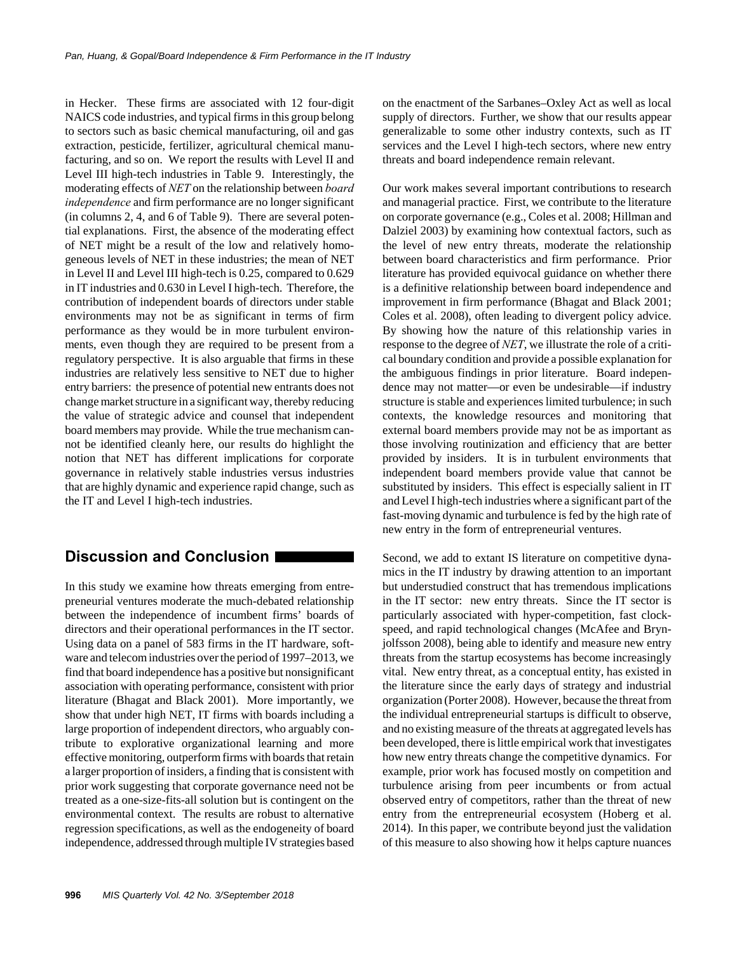in Hecker. These firms are associated with 12 four-digit NAICS code industries, and typical firms in this group belong to sectors such as basic chemical manufacturing, oil and gas extraction, pesticide, fertilizer, agricultural chemical manufacturing, and so on. We report the results with Level II and Level III high-tech industries in Table 9. Interestingly, the moderating effects of *NET* on the relationship between *board independence* and firm performance are no longer significant (in columns 2, 4, and 6 of Table 9). There are several potential explanations. First, the absence of the moderating effect of NET might be a result of the low and relatively homogeneous levels of NET in these industries; the mean of NET in Level II and Level III high-tech is 0.25, compared to 0.629 in IT industries and 0.630 in Level I high-tech. Therefore, the contribution of independent boards of directors under stable environments may not be as significant in terms of firm performance as they would be in more turbulent environments, even though they are required to be present from a regulatory perspective. It is also arguable that firms in these industries are relatively less sensitive to NET due to higher entry barriers: the presence of potential new entrants does not change market structure in a significant way, thereby reducing the value of strategic advice and counsel that independent board members may provide. While the true mechanism cannot be identified cleanly here, our results do highlight the notion that NET has different implications for corporate governance in relatively stable industries versus industries that are highly dynamic and experience rapid change, such as the IT and Level I high-tech industries.

## **Discussion and Conclusion**

In this study we examine how threats emerging from entrepreneurial ventures moderate the much-debated relationship between the independence of incumbent firms' boards of directors and their operational performances in the IT sector. Using data on a panel of 583 firms in the IT hardware, software and telecom industries over the period of 1997–2013, we find that board independence has a positive but nonsignificant association with operating performance, consistent with prior literature (Bhagat and Black 2001). More importantly, we show that under high NET, IT firms with boards including a large proportion of independent directors, who arguably contribute to explorative organizational learning and more effective monitoring, outperform firms with boards that retain a larger proportion of insiders, a finding that is consistent with prior work suggesting that corporate governance need not be treated as a one-size-fits-all solution but is contingent on the environmental context. The results are robust to alternative regression specifications, as well as the endogeneity of board independence, addressed through multiple IV strategies based on the enactment of the Sarbanes–Oxley Act as well as local supply of directors. Further, we show that our results appear generalizable to some other industry contexts, such as IT services and the Level I high-tech sectors, where new entry threats and board independence remain relevant.

Our work makes several important contributions to research and managerial practice. First, we contribute to the literature on corporate governance (e.g., Coles et al. 2008; Hillman and Dalziel 2003) by examining how contextual factors, such as the level of new entry threats, moderate the relationship between board characteristics and firm performance. Prior literature has provided equivocal guidance on whether there is a definitive relationship between board independence and improvement in firm performance (Bhagat and Black 2001; Coles et al. 2008), often leading to divergent policy advice. By showing how the nature of this relationship varies in response to the degree of *NET*, we illustrate the role of a critical boundary condition and provide a possible explanation for the ambiguous findings in prior literature. Board independence may not matter—or even be undesirable—if industry structure is stable and experiences limited turbulence; in such contexts, the knowledge resources and monitoring that external board members provide may not be as important as those involving routinization and efficiency that are better provided by insiders. It is in turbulent environments that independent board members provide value that cannot be substituted by insiders. This effect is especially salient in IT and Level I high-tech industries where a significant part of the fast-moving dynamic and turbulence is fed by the high rate of new entry in the form of entrepreneurial ventures.

Second, we add to extant IS literature on competitive dynamics in the IT industry by drawing attention to an important but understudied construct that has tremendous implications in the IT sector: new entry threats. Since the IT sector is particularly associated with hyper-competition, fast clockspeed, and rapid technological changes (McAfee and Brynjolfsson 2008), being able to identify and measure new entry threats from the startup ecosystems has become increasingly vital. New entry threat, as a conceptual entity, has existed in the literature since the early days of strategy and industrial organization (Porter 2008). However, because the threat from the individual entrepreneurial startups is difficult to observe, and no existing measure of the threats at aggregated levels has been developed, there is little empirical work that investigates how new entry threats change the competitive dynamics. For example, prior work has focused mostly on competition and turbulence arising from peer incumbents or from actual observed entry of competitors, rather than the threat of new entry from the entrepreneurial ecosystem (Hoberg et al. 2014). In this paper, we contribute beyond just the validation of this measure to also showing how it helps capture nuances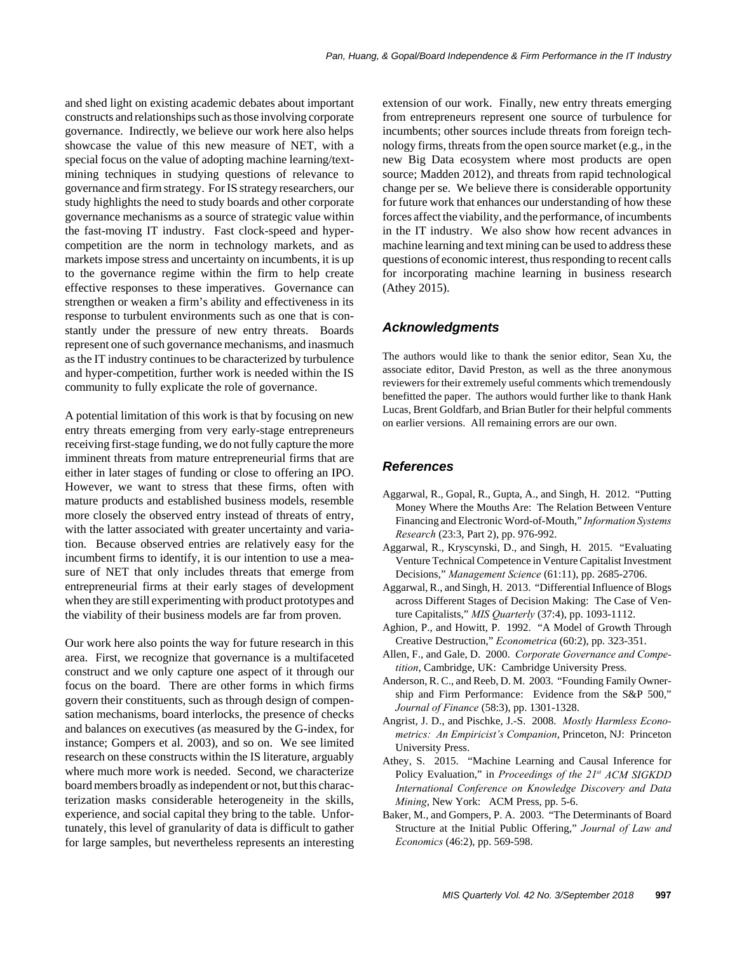and shed light on existing academic debates about important constructs and relationships such as those involving corporate governance. Indirectly, we believe our work here also helps showcase the value of this new measure of NET, with a special focus on the value of adopting machine learning/textmining techniques in studying questions of relevance to governance and firm strategy. For IS strategy researchers, our study highlights the need to study boards and other corporate governance mechanisms as a source of strategic value within the fast-moving IT industry. Fast clock-speed and hypercompetition are the norm in technology markets, and as markets impose stress and uncertainty on incumbents, it is up to the governance regime within the firm to help create effective responses to these imperatives. Governance can strengthen or weaken a firm's ability and effectiveness in its response to turbulent environments such as one that is constantly under the pressure of new entry threats. Boards represent one of such governance mechanisms, and inasmuch as the IT industry continues to be characterized by turbulence and hyper-competition, further work is needed within the IS community to fully explicate the role of governance.

A potential limitation of this work is that by focusing on new entry threats emerging from very early-stage entrepreneurs receiving first-stage funding, we do not fully capture the more imminent threats from mature entrepreneurial firms that are either in later stages of funding or close to offering an IPO. However, we want to stress that these firms, often with mature products and established business models, resemble more closely the observed entry instead of threats of entry, with the latter associated with greater uncertainty and variation. Because observed entries are relatively easy for the incumbent firms to identify, it is our intention to use a measure of NET that only includes threats that emerge from entrepreneurial firms at their early stages of development when they are still experimenting with product prototypes and the viability of their business models are far from proven.

Our work here also points the way for future research in this area. First, we recognize that governance is a multifaceted construct and we only capture one aspect of it through our focus on the board. There are other forms in which firms govern their constituents, such as through design of compensation mechanisms, board interlocks, the presence of checks and balances on executives (as measured by the G-index, for instance; Gompers et al. 2003), and so on. We see limited research on these constructs within the IS literature, arguably where much more work is needed. Second, we characterize board members broadly as independent or not, but this characterization masks considerable heterogeneity in the skills, experience, and social capital they bring to the table. Unfortunately, this level of granularity of data is difficult to gather for large samples, but nevertheless represents an interesting extension of our work. Finally, new entry threats emerging from entrepreneurs represent one source of turbulence for incumbents; other sources include threats from foreign technology firms, threats from the open source market (e.g., in the new Big Data ecosystem where most products are open source; Madden 2012), and threats from rapid technological change per se. We believe there is considerable opportunity for future work that enhances our understanding of how these forces affect the viability, and the performance, of incumbents in the IT industry. We also show how recent advances in machine learning and text mining can be used to address these questions of economic interest, thus responding to recent calls for incorporating machine learning in business research (Athey 2015).

## *Acknowledgments*

The authors would like to thank the senior editor, Sean Xu, the associate editor, David Preston, as well as the three anonymous reviewers for their extremely useful comments which tremendously benefitted the paper. The authors would further like to thank Hank Lucas, Brent Goldfarb, and Brian Butler for their helpful comments on earlier versions. All remaining errors are our own.

## *References*

- Aggarwal, R., Gopal, R., Gupta, A., and Singh, H. 2012. "Putting Money Where the Mouths Are: The Relation Between Venture Financing and Electronic Word-of-Mouth," *Information Systems Research* (23:3, Part 2), pp. 976-992.
- Aggarwal, R., Kryscynski, D., and Singh, H. 2015. "Evaluating Venture Technical Competence in Venture Capitalist Investment Decisions," *Management Science* (61:11), pp. 2685-2706.
- Aggarwal, R., and Singh, H. 2013. "Differential Influence of Blogs across Different Stages of Decision Making: The Case of Venture Capitalists," *MIS Quarterly* (37:4), pp. 1093-1112.
- Aghion, P., and Howitt, P. 1992. "A Model of Growth Through Creative Destruction," *Econometrica* (60:2), pp. 323-351.
- Allen, F., and Gale, D. 2000. *Corporate Governance and Competition*, Cambridge, UK: Cambridge University Press.
- Anderson, R. C., and Reeb, D. M. 2003. "Founding Family Ownership and Firm Performance: Evidence from the S&P 500," *Journal of Finance* (58:3), pp. 1301-1328.
- Angrist, J. D., and Pischke, J.-S. 2008. *Mostly Harmless Econometrics: An Empiricist's Companion*, Princeton, NJ: Princeton University Press.
- Athey, S. 2015. "Machine Learning and Causal Inference for Policy Evaluation," in *Proceedings of the 21st ACM SIGKDD International Conference on Knowledge Discovery and Data Mining*, New York: ACM Press, pp. 5-6.
- Baker, M., and Gompers, P. A. 2003. "The Determinants of Board Structure at the Initial Public Offering," *Journal of Law and Economics* (46:2), pp. 569-598.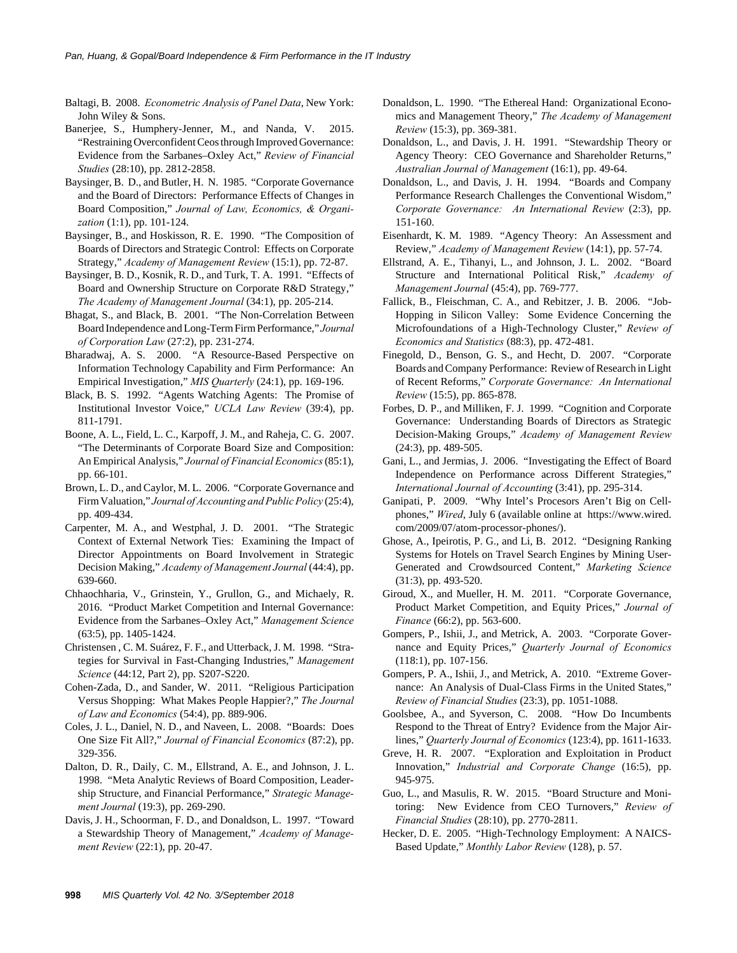- Baltagi, B. 2008. *Econometric Analysis of Panel Data*, New York: John Wiley & Sons.
- Banerjee, S., Humphery-Jenner, M., and Nanda, V. 2015. "Restraining Overconfident Ceos through Improved Governance: Evidence from the Sarbanes–Oxley Act," *Review of Financial Studies* (28:10), pp. 2812-2858.
- Baysinger, B. D., and Butler, H. N. 1985. "Corporate Governance and the Board of Directors: Performance Effects of Changes in Board Composition," *Journal of Law, Economics, & Organization* (1:1), pp. 101-124.
- Baysinger, B., and Hoskisson, R. E. 1990. "The Composition of Boards of Directors and Strategic Control: Effects on Corporate Strategy," *Academy of Management Review* (15:1), pp. 72-87.
- Baysinger, B. D., Kosnik, R. D., and Turk, T. A. 1991. "Effects of Board and Ownership Structure on Corporate R&D Strategy," *The Academy of Management Journal* (34:1), pp. 205-214.
- Bhagat, S., and Black, B. 2001. "The Non-Correlation Between Board Independence and Long-Term Firm Performance," *Journal of Corporation Law* (27:2), pp. 231-274.
- Bharadwaj, A. S. 2000. "A Resource-Based Perspective on Information Technology Capability and Firm Performance: An Empirical Investigation," *MIS Quarterly* (24:1), pp. 169-196.
- Black, B. S. 1992. "Agents Watching Agents: The Promise of Institutional Investor Voice," *UCLA Law Review* (39:4), pp. 811-1791.
- Boone, A. L., Field, L. C., Karpoff, J. M., and Raheja, C. G. 2007. "The Determinants of Corporate Board Size and Composition: An Empirical Analysis," *Journal of Financial Economics* (85:1), pp. 66-101.
- Brown, L. D., and Caylor, M. L. 2006. "Corporate Governance and Firm Valuation," *Journal of Accounting and Public Policy* (25:4), pp. 409-434.
- Carpenter, M. A., and Westphal, J. D. 2001. "The Strategic Context of External Network Ties: Examining the Impact of Director Appointments on Board Involvement in Strategic Decision Making," *Academy of Management Journal* (44:4), pp. 639-660.
- Chhaochharia, V., Grinstein, Y., Grullon, G., and Michaely, R. 2016. "Product Market Competition and Internal Governance: Evidence from the Sarbanes–Oxley Act," *Management Science* (63:5), pp. 1405-1424.
- Christensen , C. M. Suárez, F. F., and Utterback, J. M. 1998. "Strategies for Survival in Fast-Changing Industries," *Management Science* (44:12, Part 2), pp. S207-S220.
- Cohen-Zada, D., and Sander, W. 2011. "Religious Participation Versus Shopping: What Makes People Happier?," *The Journal of Law and Economics* (54:4), pp. 889-906.
- Coles, J. L., Daniel, N. D., and Naveen, L. 2008. "Boards: Does One Size Fit All?," *Journal of Financial Economics* (87:2), pp. 329-356.
- Dalton, D. R., Daily, C. M., Ellstrand, A. E., and Johnson, J. L. 1998. "Meta Analytic Reviews of Board Composition, Leadership Structure, and Financial Performance," *Strategic Management Journal* (19:3), pp. 269-290.
- Davis, J. H., Schoorman, F. D., and Donaldson, L. 1997. "Toward a Stewardship Theory of Management," *Academy of Management Review* (22:1), pp. 20-47.
- Donaldson, L. 1990. "The Ethereal Hand: Organizational Economics and Management Theory," *The Academy of Management Review* (15:3), pp. 369-381.
- Donaldson, L., and Davis, J. H. 1991. "Stewardship Theory or Agency Theory: CEO Governance and Shareholder Returns," *Australian Journal of Management* (16:1), pp. 49-64.
- Donaldson, L., and Davis, J. H. 1994. "Boards and Company Performance Research Challenges the Conventional Wisdom," *Corporate Governance: An International Review* (2:3), pp. 151-160.
- Eisenhardt, K. M. 1989. "Agency Theory: An Assessment and Review," *Academy of Management Review* (14:1), pp. 57-74.
- Ellstrand, A. E., Tihanyi, L., and Johnson, J. L. 2002. "Board Structure and International Political Risk," *Academy of Management Journal* (45:4), pp. 769-777.
- Fallick, B., Fleischman, C. A., and Rebitzer, J. B. 2006. "Job-Hopping in Silicon Valley: Some Evidence Concerning the Microfoundations of a High-Technology Cluster," *Review of Economics and Statistics* (88:3), pp. 472-481.
- Finegold, D., Benson, G. S., and Hecht, D. 2007. "Corporate Boards and Company Performance: Review of Research in Light of Recent Reforms," *Corporate Governance: An International Review* (15:5), pp. 865-878.
- Forbes, D. P., and Milliken, F. J. 1999. "Cognition and Corporate Governance: Understanding Boards of Directors as Strategic Decision-Making Groups," *Academy of Management Review* (24:3), pp. 489-505.
- Gani, L., and Jermias, J. 2006. "Investigating the Effect of Board Independence on Performance across Different Strategies," *International Journal of Accounting* (3:41), pp. 295-314.
- Ganipati, P. 2009. "Why Intel's Procesors Aren't Big on Cellphones," *Wired*, July 6 (available online at https://www.wired. com/2009/07/atom-processor-phones/).
- Ghose, A., Ipeirotis, P. G., and Li, B. 2012. "Designing Ranking Systems for Hotels on Travel Search Engines by Mining User-Generated and Crowdsourced Content," *Marketing Science* (31:3), pp. 493-520.
- Giroud, X., and Mueller, H. M. 2011. "Corporate Governance, Product Market Competition, and Equity Prices," *Journal of Finance* (66:2), pp. 563-600.
- Gompers, P., Ishii, J., and Metrick, A. 2003. "Corporate Governance and Equity Prices," *Quarterly Journal of Economics* (118:1), pp. 107-156.
- Gompers, P. A., Ishii, J., and Metrick, A. 2010. "Extreme Governance: An Analysis of Dual-Class Firms in the United States," *Review of Financial Studies* (23:3), pp. 1051-1088.
- Goolsbee, A., and Syverson, C. 2008. "How Do Incumbents Respond to the Threat of Entry? Evidence from the Major Airlines," *Quarterly Journal of Economics* (123:4), pp. 1611-1633.
- Greve, H. R. 2007. "Exploration and Exploitation in Product Innovation," *Industrial and Corporate Change* (16:5), pp. 945-975.
- Guo, L., and Masulis, R. W. 2015. "Board Structure and Monitoring: New Evidence from CEO Turnovers," *Review of Financial Studies* (28:10), pp. 2770-2811.
- Hecker, D. E. 2005. "High-Technology Employment: A NAICS-Based Update," *Monthly Labor Review* (128), p. 57.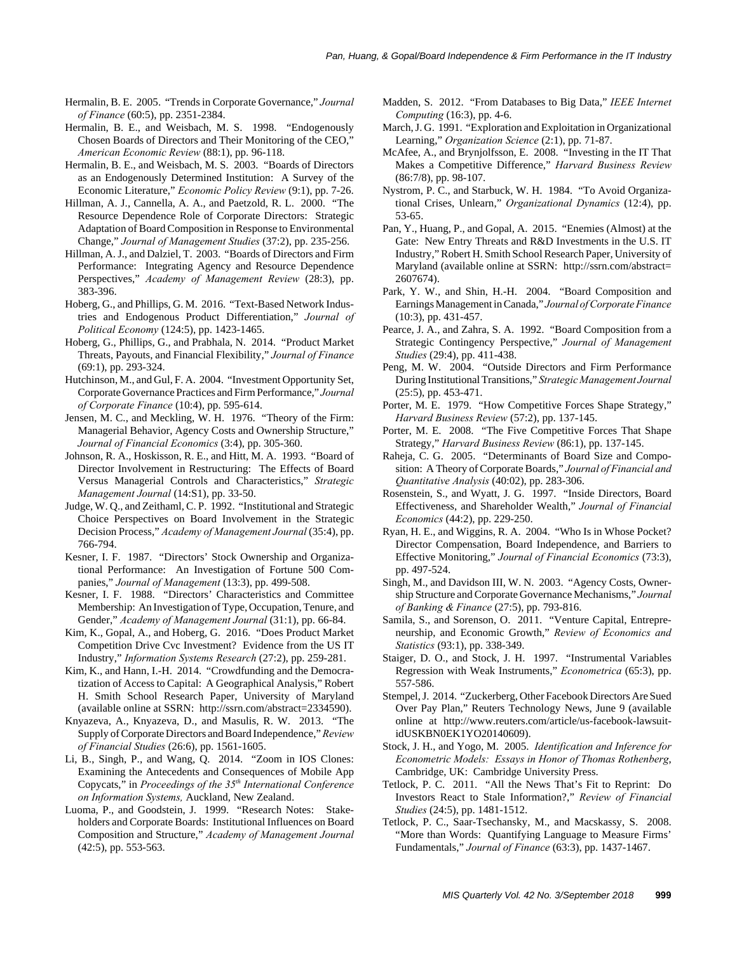- Hermalin, B. E. 2005. "Trends in Corporate Governance," *Journal of Finance* (60:5), pp. 2351-2384.
- Hermalin, B. E., and Weisbach, M. S. 1998. "Endogenously Chosen Boards of Directors and Their Monitoring of the CEO," *American Economic Review* (88:1), pp. 96-118.
- Hermalin, B. E., and Weisbach, M. S. 2003. "Boards of Directors as an Endogenously Determined Institution: A Survey of the Economic Literature," *Economic Policy Review* (9:1), pp. 7-26.
- Hillman, A. J., Cannella, A. A., and Paetzold, R. L. 2000. "The Resource Dependence Role of Corporate Directors: Strategic Adaptation of Board Composition in Response to Environmental Change," *Journal of Management Studies* (37:2), pp. 235-256.
- Hillman, A. J., and Dalziel, T. 2003. "Boards of Directors and Firm Performance: Integrating Agency and Resource Dependence Perspectives," *Academy of Management Review* (28:3), pp. 383-396.
- Hoberg, G., and Phillips, G. M. 2016. "Text-Based Network Industries and Endogenous Product Differentiation," *Journal of Political Economy* (124:5), pp. 1423-1465.
- Hoberg, G., Phillips, G., and Prabhala, N. 2014. "Product Market Threats, Payouts, and Financial Flexibility," *Journal of Finance* (69:1), pp. 293-324.
- Hutchinson, M., and Gul, F. A. 2004. "Investment Opportunity Set, Corporate Governance Practices and Firm Performance," *Journal of Corporate Finance* (10:4), pp. 595-614.
- Jensen, M. C., and Meckling, W. H. 1976. "Theory of the Firm: Managerial Behavior, Agency Costs and Ownership Structure," *Journal of Financial Economics* (3:4), pp. 305-360.
- Johnson, R. A., Hoskisson, R. E., and Hitt, M. A. 1993. "Board of Director Involvement in Restructuring: The Effects of Board Versus Managerial Controls and Characteristics," *Strategic Management Journal* (14:S1), pp. 33-50.
- Judge, W. Q., and Zeithaml, C. P. 1992. "Institutional and Strategic Choice Perspectives on Board Involvement in the Strategic Decision Process," *Academy of Management Journal* (35:4), pp. 766-794.
- Kesner, I. F. 1987. "Directors' Stock Ownership and Organizational Performance: An Investigation of Fortune 500 Companies," *Journal of Management* (13:3), pp. 499-508.
- Kesner, I. F. 1988. "Directors' Characteristics and Committee Membership: An Investigation of Type, Occupation, Tenure, and Gender," *Academy of Management Journal* (31:1), pp. 66-84.
- Kim, K., Gopal, A., and Hoberg, G. 2016. "Does Product Market Competition Drive Cvc Investment? Evidence from the US IT Industry," *Information Systems Research* (27:2), pp. 259-281.
- Kim, K., and Hann, I.-H. 2014. "Crowdfunding and the Democratization of Access to Capital: A Geographical Analysis," Robert H. Smith School Research Paper, University of Maryland (available online at SSRN: http://ssrn.com/abstract=2334590).
- Knyazeva, A., Knyazeva, D., and Masulis, R. W. 2013. "The Supply of Corporate Directors and Board Independence," *Review of Financial Studies* (26:6), pp. 1561-1605.
- Li, B., Singh, P., and Wang, Q. 2014. "Zoom in IOS Clones: Examining the Antecedents and Consequences of Mobile App Copycats," in *Proceedings of the 35th International Conference on Information Systems,* Auckland, New Zealand.
- Luoma, P., and Goodstein, J. 1999. "Research Notes: Stakeholders and Corporate Boards: Institutional Influences on Board Composition and Structure," *Academy of Management Journal* (42:5), pp. 553-563.
- Madden, S. 2012. "From Databases to Big Data," *IEEE Internet Computing* (16:3), pp. 4-6.
- March, J. G. 1991. "Exploration and Exploitation in Organizational Learning," *Organization Science* (2:1), pp. 71-87.
- McAfee, A., and Brynjolfsson, E. 2008. "Investing in the IT That Makes a Competitive Difference," *Harvard Business Review* (86:7/8), pp. 98-107.
- Nystrom, P. C., and Starbuck, W. H. 1984. "To Avoid Organizational Crises, Unlearn," *Organizational Dynamics* (12:4), pp. 53-65.
- Pan, Y., Huang, P., and Gopal, A. 2015. "Enemies (Almost) at the Gate: New Entry Threats and R&D Investments in the U.S. IT Industry," Robert H. Smith School Research Paper, University of Maryland (available online at SSRN: http://ssrn.com/abstract= 2607674).
- Park, Y. W., and Shin, H.-H. 2004. "Board Composition and Earnings Management in Canada," *Journal of Corporate Finance* (10:3), pp. 431-457.
- Pearce, J. A., and Zahra, S. A. 1992. "Board Composition from a Strategic Contingency Perspective," *Journal of Management Studies* (29:4), pp. 411-438.
- Peng, M. W. 2004. "Outside Directors and Firm Performance During Institutional Transitions," *Strategic Management Journal* (25:5), pp. 453-471.
- Porter, M. E. 1979. "How Competitive Forces Shape Strategy," *Harvard Business Review* (57:2), pp. 137-145.
- Porter, M. E. 2008. "The Five Competitive Forces That Shape Strategy," *Harvard Business Review* (86:1), pp. 137-145.
- Raheja, C. G. 2005. "Determinants of Board Size and Composition: A Theory of Corporate Boards," *Journal of Financial and Quantitative Analysis* (40:02), pp. 283-306.
- Rosenstein, S., and Wyatt, J. G. 1997. "Inside Directors, Board Effectiveness, and Shareholder Wealth," *Journal of Financial Economics* (44:2), pp. 229-250.
- Ryan, H. E., and Wiggins, R. A. 2004. "Who Is in Whose Pocket? Director Compensation, Board Independence, and Barriers to Effective Monitoring," *Journal of Financial Economics* (73:3), pp. 497-524.
- Singh, M., and Davidson III, W. N. 2003. "Agency Costs, Ownership Structure and Corporate Governance Mechanisms," *Journal of Banking & Finance* (27:5), pp. 793-816.
- Samila, S., and Sorenson, O. 2011. "Venture Capital, Entrepreneurship, and Economic Growth," *Review of Economics and Statistics* (93:1), pp. 338-349.
- Staiger, D. O., and Stock, J. H. 1997. "Instrumental Variables Regression with Weak Instruments," *Econometrica* (65:3), pp. 557-586.
- Stempel, J. 2014. "Zuckerberg, Other Facebook Directors Are Sued Over Pay Plan," Reuters Technology News, June 9 (available online at http://www.reuters.com/article/us-facebook-lawsuitidUSKBN0EK1YO20140609).
- Stock, J. H., and Yogo, M. 2005. *Identification and Inference for Econometric Models: Essays in Honor of Thomas Rothenberg*, Cambridge, UK: Cambridge University Press.
- Tetlock, P. C. 2011. "All the News That's Fit to Reprint: Do Investors React to Stale Information?," *Review of Financial Studies* (24:5), pp. 1481-1512.
- Tetlock, P. C., Saar-Tsechansky, M., and Macskassy, S. 2008. "More than Words: Quantifying Language to Measure Firms' Fundamentals," *Journal of Finance* (63:3), pp. 1437-1467.